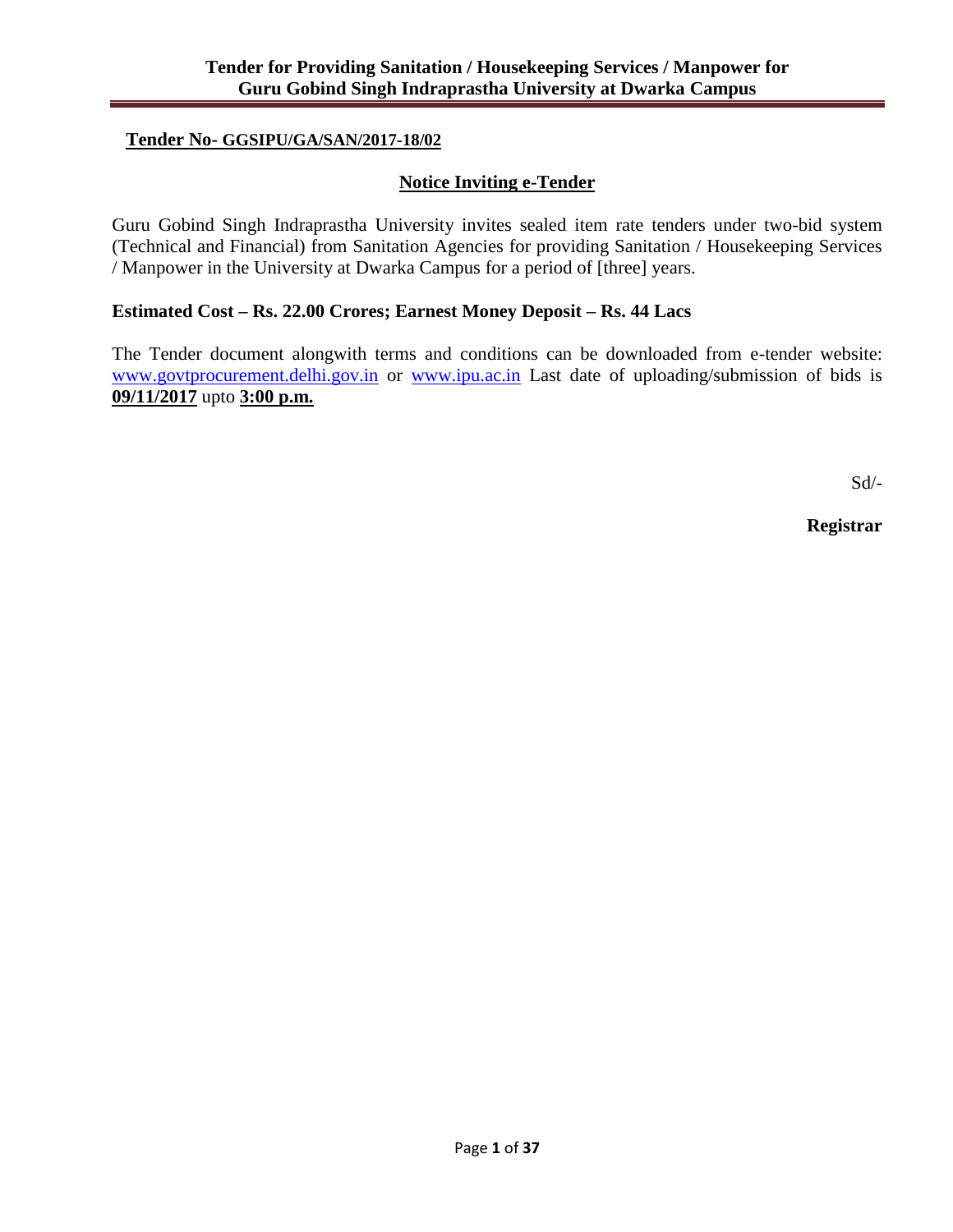## **Tender No- GGSIPU/GA/SAN/2017-18/02**

## **Notice Inviting e-Tender**

Guru Gobind Singh Indraprastha University invites sealed item rate tenders under two-bid system (Technical and Financial) from Sanitation Agencies for providing Sanitation / Housekeeping Services / Manpower in the University at Dwarka Campus for a period of [three] years.

## **Estimated Cost – Rs. 22.00 Crores; Earnest Money Deposit – Rs. 44 Lacs**

The Tender document alongwith terms and conditions can be downloaded from e-tender website: [www.govtprocurement.delhi.gov.in](http://www.govtprocurement.delhi.gov.in/) or [www.ipu.ac.in](http://www.ipu.ac.in/) Last date of uploading/submission of bids is **09/11/2017** upto **3:00 p.m.**

Sd/-

**Registrar**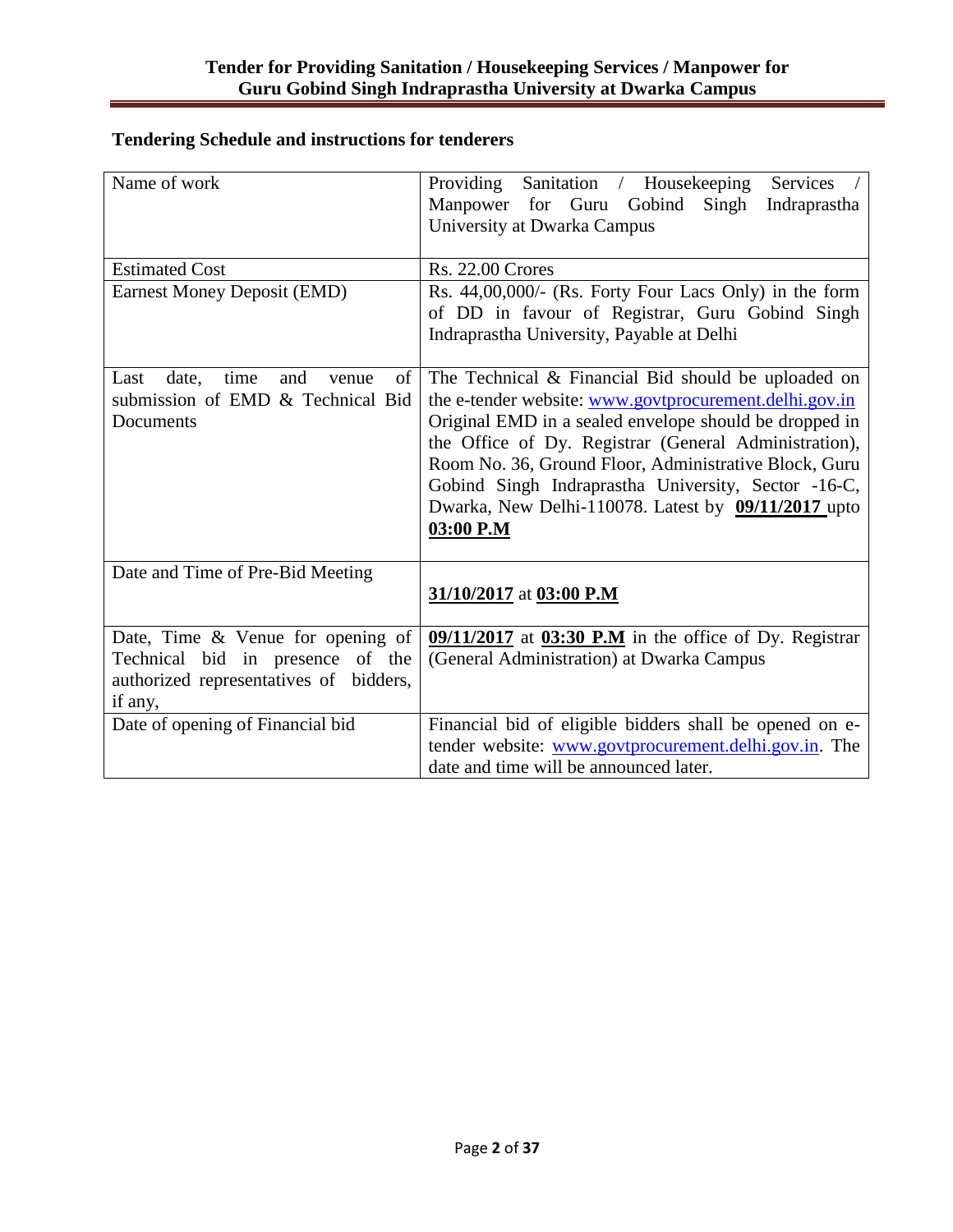## **Tendering Schedule and instructions for tenderers**

| Name of work                                                                                                               | Sanitation / Housekeeping<br>Providing<br><b>Services</b><br>Manpower for Guru<br>Gobind Singh<br>Indraprastha<br>University at Dwarka Campus                                                                                                                                                                                                                                                                        |  |  |
|----------------------------------------------------------------------------------------------------------------------------|----------------------------------------------------------------------------------------------------------------------------------------------------------------------------------------------------------------------------------------------------------------------------------------------------------------------------------------------------------------------------------------------------------------------|--|--|
| <b>Estimated Cost</b>                                                                                                      | <b>Rs. 22.00 Crores</b>                                                                                                                                                                                                                                                                                                                                                                                              |  |  |
| <b>Earnest Money Deposit (EMD)</b>                                                                                         | Rs. 44,00,000/- (Rs. Forty Four Lacs Only) in the form<br>of DD in favour of Registrar, Guru Gobind Singh<br>Indraprastha University, Payable at Delhi                                                                                                                                                                                                                                                               |  |  |
| of<br>date,<br>time<br>and<br>Last<br>venue<br>submission of EMD & Technical Bid<br>Documents                              | The Technical & Financial Bid should be uploaded on<br>the e-tender website: www.govtprocurement.delhi.gov.in<br>Original EMD in a sealed envelope should be dropped in<br>the Office of Dy. Registrar (General Administration),<br>Room No. 36, Ground Floor, Administrative Block, Guru<br>Gobind Singh Indraprastha University, Sector -16-C,<br>Dwarka, New Delhi-110078. Latest by 09/11/2017 upto<br>03:00 P.M |  |  |
| Date and Time of Pre-Bid Meeting                                                                                           | 31/10/2017 at 03:00 P.M                                                                                                                                                                                                                                                                                                                                                                                              |  |  |
| Date, Time & Venue for opening of<br>Technical bid in presence of the<br>authorized representatives of bidders,<br>if any, | 09/11/2017 at 03:30 P.M in the office of Dy. Registrar<br>(General Administration) at Dwarka Campus                                                                                                                                                                                                                                                                                                                  |  |  |
| Date of opening of Financial bid                                                                                           | Financial bid of eligible bidders shall be opened on e-<br>tender website: www.govtprocurement.delhi.gov.in. The<br>date and time will be announced later.                                                                                                                                                                                                                                                           |  |  |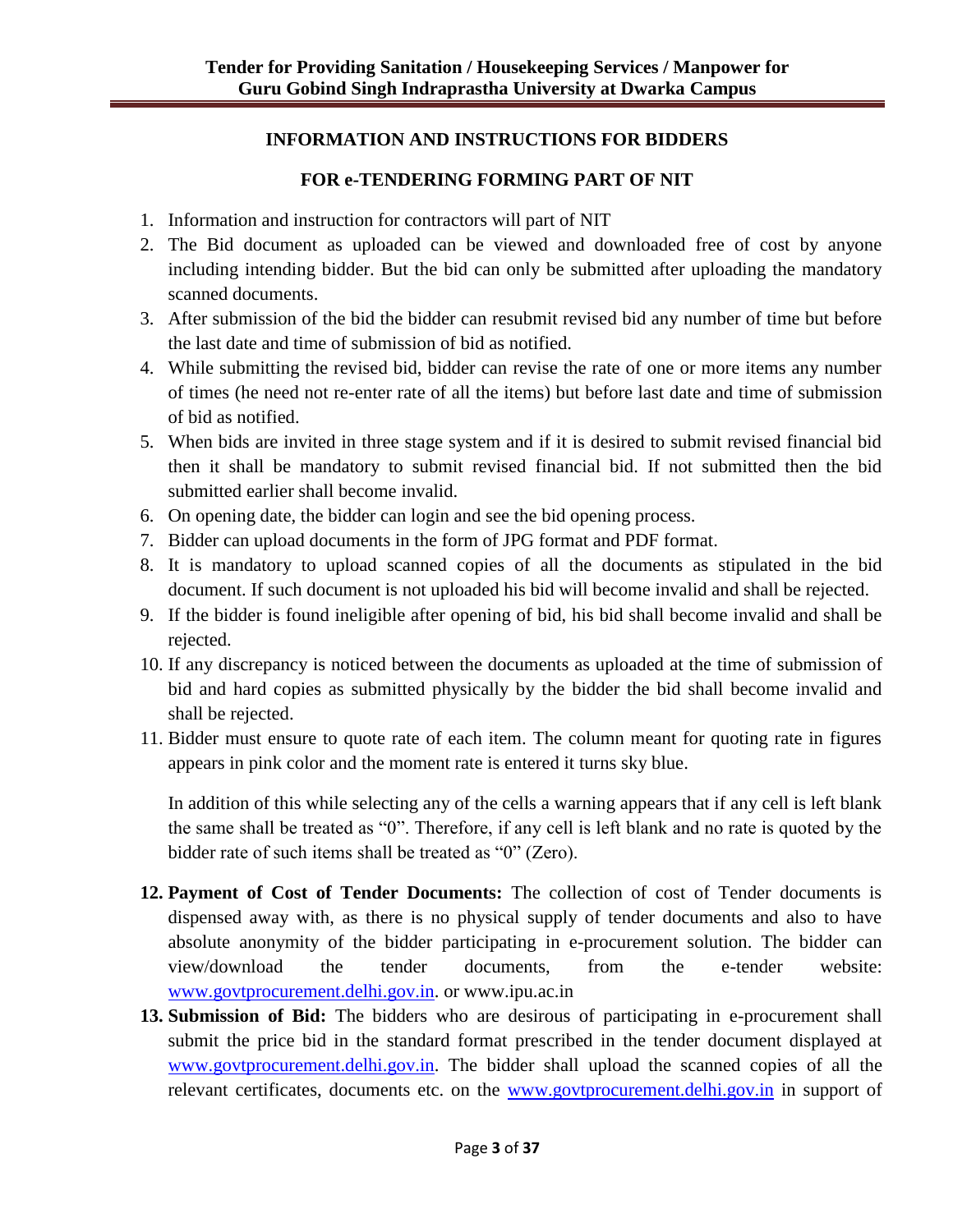## **INFORMATION AND INSTRUCTIONS FOR BIDDERS**

## **FOR e-TENDERING FORMING PART OF NIT**

- 1. Information and instruction for contractors will part of NIT
- 2. The Bid document as uploaded can be viewed and downloaded free of cost by anyone including intending bidder. But the bid can only be submitted after uploading the mandatory scanned documents.
- 3. After submission of the bid the bidder can resubmit revised bid any number of time but before the last date and time of submission of bid as notified.
- 4. While submitting the revised bid, bidder can revise the rate of one or more items any number of times (he need not re-enter rate of all the items) but before last date and time of submission of bid as notified.
- 5. When bids are invited in three stage system and if it is desired to submit revised financial bid then it shall be mandatory to submit revised financial bid. If not submitted then the bid submitted earlier shall become invalid.
- 6. On opening date, the bidder can login and see the bid opening process.
- 7. Bidder can upload documents in the form of JPG format and PDF format.
- 8. It is mandatory to upload scanned copies of all the documents as stipulated in the bid document. If such document is not uploaded his bid will become invalid and shall be rejected.
- 9. If the bidder is found ineligible after opening of bid, his bid shall become invalid and shall be rejected.
- 10. If any discrepancy is noticed between the documents as uploaded at the time of submission of bid and hard copies as submitted physically by the bidder the bid shall become invalid and shall be rejected.
- 11. Bidder must ensure to quote rate of each item. The column meant for quoting rate in figures appears in pink color and the moment rate is entered it turns sky blue.

In addition of this while selecting any of the cells a warning appears that if any cell is left blank the same shall be treated as "0". Therefore, if any cell is left blank and no rate is quoted by the bidder rate of such items shall be treated as "0" (Zero).

- **12. Payment of Cost of Tender Documents:** The collection of cost of Tender documents is dispensed away with, as there is no physical supply of tender documents and also to have absolute anonymity of the bidder participating in e-procurement solution. The bidder can view/download the tender documents, from the e-tender website: [www.govtprocurement.delhi.gov.in.](http://www.govtprocurement.delhi.gov.in/) or www.ipu.ac.in
- **13. Submission of Bid:** The bidders who are desirous of participating in e-procurement shall submit the price bid in the standard format prescribed in the tender document displayed at [www.govtprocurement.delhi.gov.in.](http://www.govtprocurement.delhi.gov.in/) The bidder shall upload the scanned copies of all the relevant certificates, documents etc. on the [www.govtprocurement.delhi.gov.in](http://www.govtprocurement.delhi.gov.in/) in support of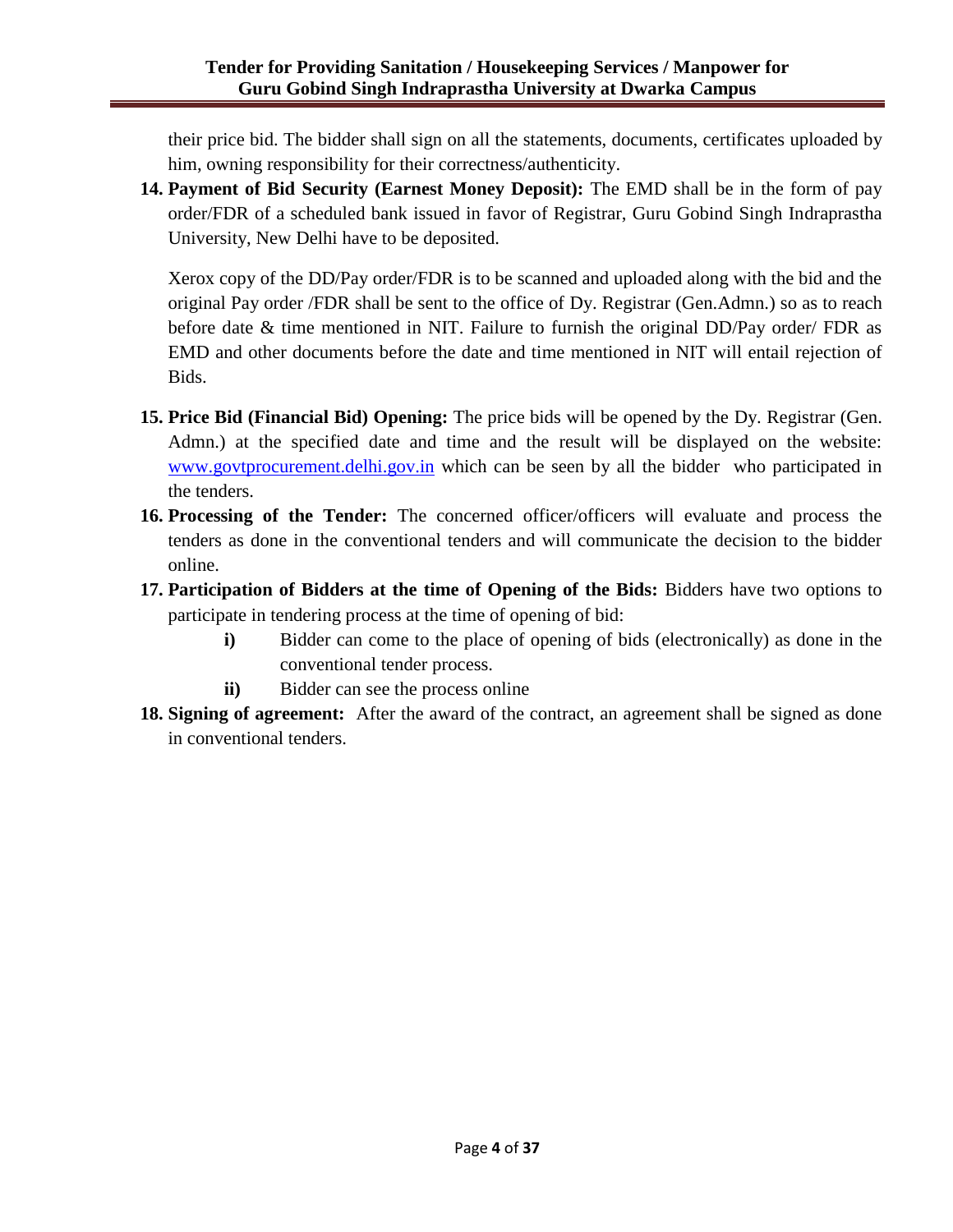their price bid. The bidder shall sign on all the statements, documents, certificates uploaded by him, owning responsibility for their correctness/authenticity.

**14. Payment of Bid Security (Earnest Money Deposit):** The EMD shall be in the form of pay order/FDR of a scheduled bank issued in favor of Registrar, Guru Gobind Singh Indraprastha University, New Delhi have to be deposited.

Xerox copy of the DD/Pay order/FDR is to be scanned and uploaded along with the bid and the original Pay order /FDR shall be sent to the office of Dy. Registrar (Gen.Admn.) so as to reach before date & time mentioned in NIT. Failure to furnish the original DD/Pay order/ FDR as EMD and other documents before the date and time mentioned in NIT will entail rejection of Bids.

- **15. Price Bid (Financial Bid) Opening:** The price bids will be opened by the Dy. Registrar (Gen. Admn.) at the specified date and time and the result will be displayed on the website: [www.govtprocurement.delhi.gov.in](http://www.govtprocurement.delhi.gov.in/) which can be seen by all the bidder who participated in the tenders.
- **16. Processing of the Tender:** The concerned officer/officers will evaluate and process the tenders as done in the conventional tenders and will communicate the decision to the bidder online.
- **17. Participation of Bidders at the time of Opening of the Bids:** Bidders have two options to participate in tendering process at the time of opening of bid:
	- **i)** Bidder can come to the place of opening of bids (electronically) as done in the conventional tender process.
	- **ii)** Bidder can see the process online
- **18. Signing of agreement:** After the award of the contract, an agreement shall be signed as done in conventional tenders.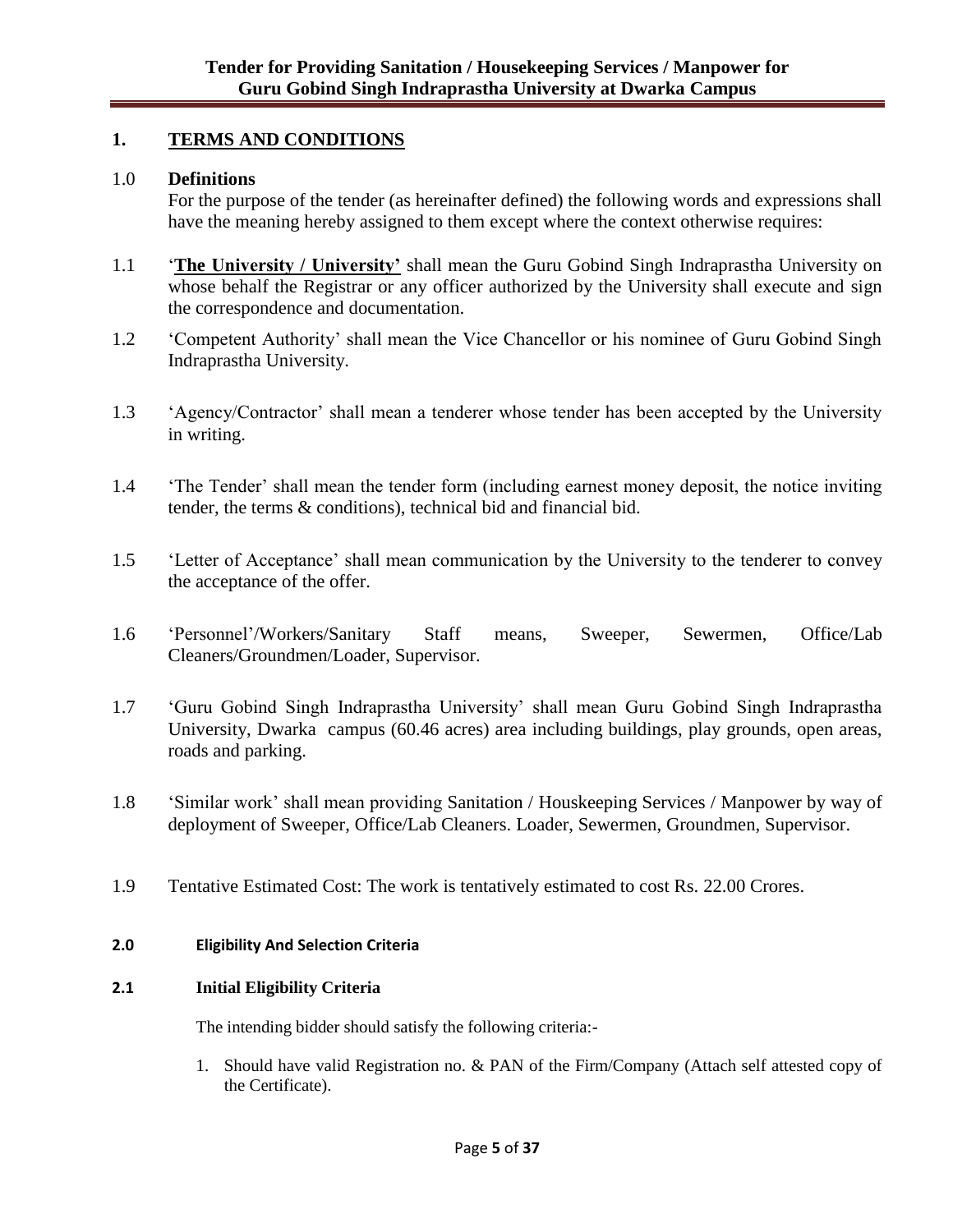## **1. TERMS AND CONDITIONS**

### 1.0 **Definitions**

For the purpose of the tender (as hereinafter defined) the following words and expressions shall have the meaning hereby assigned to them except where the context otherwise requires:

- 1.1 "**The University / University'** shall mean the Guru Gobind Singh Indraprastha University on whose behalf the Registrar or any officer authorized by the University shall execute and sign the correspondence and documentation.
- 1.2 "Competent Authority" shall mean the Vice Chancellor or his nominee of Guru Gobind Singh Indraprastha University.
- 1.3 "Agency/Contractor" shall mean a tenderer whose tender has been accepted by the University in writing.
- 1.4 "The Tender" shall mean the tender form (including earnest money deposit, the notice inviting tender, the terms & conditions), technical bid and financial bid.
- 1.5 "Letter of Acceptance" shall mean communication by the University to the tenderer to convey the acceptance of the offer.
- 1.6 "Personnel"/Workers/Sanitary Staff means, Sweeper, Sewermen, Office/Lab Cleaners/Groundmen/Loader, Supervisor.
- 1.7 "Guru Gobind Singh Indraprastha University" shall mean Guru Gobind Singh Indraprastha University, Dwarka campus (60.46 acres) area including buildings, play grounds, open areas, roads and parking.
- 1.8 "Similar work" shall mean providing Sanitation / Houskeeping Services / Manpower by way of deployment of Sweeper, Office/Lab Cleaners. Loader, Sewermen, Groundmen, Supervisor.
- 1.9 Tentative Estimated Cost: The work is tentatively estimated to cost Rs. 22.00 Crores.

### **2.0 Eligibility And Selection Criteria**

### **2.1 Initial Eligibility Criteria**

The intending bidder should satisfy the following criteria:-

1. Should have valid Registration no. & PAN of the Firm/Company (Attach self attested copy of the Certificate).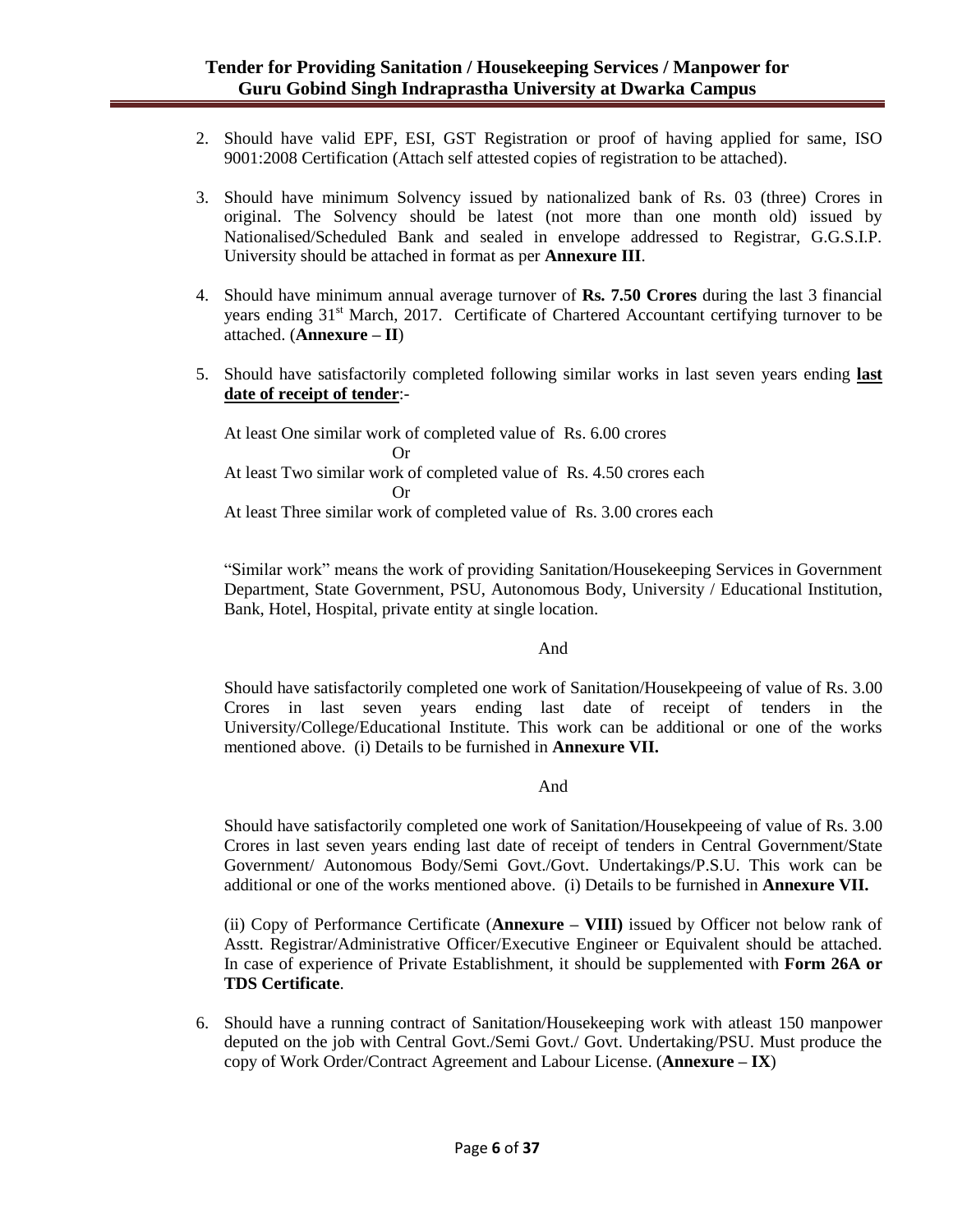- 2. Should have valid EPF, ESI, GST Registration or proof of having applied for same, ISO 9001:2008 Certification (Attach self attested copies of registration to be attached).
- 3. Should have minimum Solvency issued by nationalized bank of Rs. 03 (three) Crores in original. The Solvency should be latest (not more than one month old) issued by Nationalised/Scheduled Bank and sealed in envelope addressed to Registrar, G.G.S.I.P. University should be attached in format as per **Annexure III**.
- 4. Should have minimum annual average turnover of **Rs. 7.50 Crores** during the last 3 financial years ending 31<sup>st</sup> March, 2017. Certificate of Chartered Accountant certifying turnover to be attached. (**Annexure – II**)
- 5. Should have satisfactorily completed following similar works in last seven years ending **last date of receipt of tender**:-

At least One similar work of completed value of Rs. 6.00 crores Or At least Two similar work of completed value of Rs. 4.50 crores each Or At least Three similar work of completed value of Rs. 3.00 crores each

"Similar work" means the work of providing Sanitation/Housekeeping Services in Government Department, State Government, PSU, Autonomous Body, University / Educational Institution, Bank, Hotel, Hospital, private entity at single location.

### And

Should have satisfactorily completed one work of Sanitation/Housekpeeing of value of Rs. 3.00 Crores in last seven years ending last date of receipt of tenders in the University/College/Educational Institute. This work can be additional or one of the works mentioned above. (i) Details to be furnished in **Annexure VII.**

### And

Should have satisfactorily completed one work of Sanitation/Housekpeeing of value of Rs. 3.00 Crores in last seven years ending last date of receipt of tenders in Central Government/State Government/ Autonomous Body/Semi Govt./Govt. Undertakings/P.S.U. This work can be additional or one of the works mentioned above. (i) Details to be furnished in **Annexure VII.**

(ii) Copy of Performance Certificate (**Annexure – VIII)** issued by Officer not below rank of Asstt. Registrar/Administrative Officer/Executive Engineer or Equivalent should be attached. In case of experience of Private Establishment, it should be supplemented with **Form 26A or TDS Certificate**.

6. Should have a running contract of Sanitation/Housekeeping work with atleast 150 manpower deputed on the job with Central Govt./Semi Govt./ Govt. Undertaking/PSU. Must produce the copy of Work Order/Contract Agreement and Labour License. (**Annexure – IX**)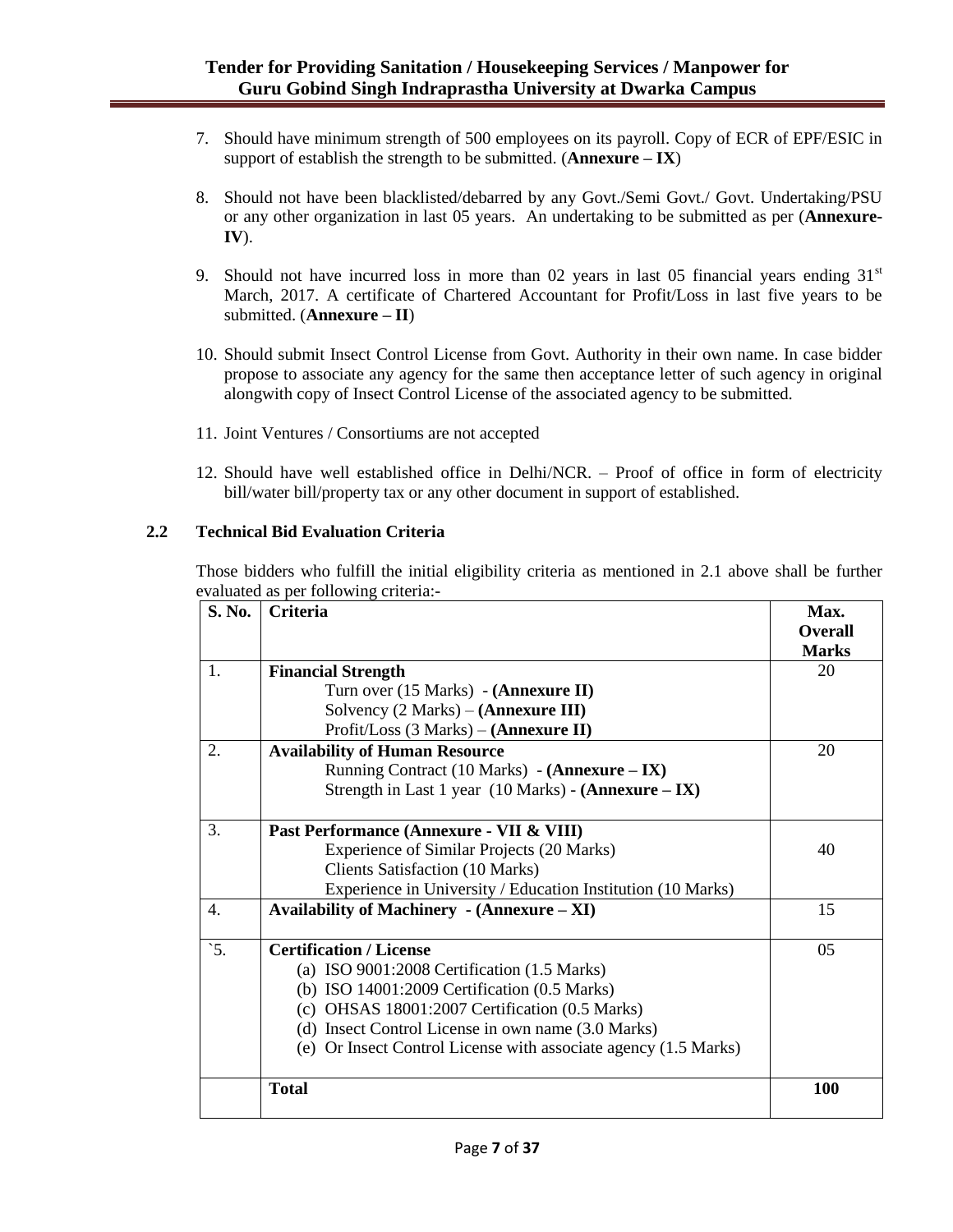- 7. Should have minimum strength of 500 employees on its payroll. Copy of ECR of EPF/ESIC in support of establish the strength to be submitted.  $(Annexure - IX)$
- 8. Should not have been blacklisted/debarred by any Govt./Semi Govt./ Govt. Undertaking/PSU or any other organization in last 05 years. An undertaking to be submitted as per (**Annexure-IV**).
- 9. Should not have incurred loss in more than 02 years in last 05 financial years ending  $31<sup>st</sup>$ March, 2017. A certificate of Chartered Accountant for Profit/Loss in last five years to be submitted. (**Annexure – II**)
- 10. Should submit Insect Control License from Govt. Authority in their own name. In case bidder propose to associate any agency for the same then acceptance letter of such agency in original alongwith copy of Insect Control License of the associated agency to be submitted.
- 11. Joint Ventures / Consortiums are not accepted
- 12. Should have well established office in Delhi/NCR. Proof of office in form of electricity bill/water bill/property tax or any other document in support of established.

### **2.2 Technical Bid Evaluation Criteria**

Those bidders who fulfill the initial eligibility criteria as mentioned in 2.1 above shall be further evaluated as per following criteria:-

| S. No.           | <b>Criteria</b>                                                 | Max.<br><b>Overall</b> |
|------------------|-----------------------------------------------------------------|------------------------|
|                  |                                                                 | <b>Marks</b>           |
| 1.               | <b>Financial Strength</b>                                       | 20                     |
|                  | Turn over (15 Marks) - ( <b>Annexure II</b> )                   |                        |
|                  | Solvency $(2 Marks) - (Annexure III)$                           |                        |
|                  | Profit/Loss $(3 Marks) - (Annexure II)$                         |                        |
| $\overline{2}$ . | <b>Availability of Human Resource</b>                           | 20                     |
|                  | Running Contract (10 Marks) - (Annexure – IX)                   |                        |
|                  | Strength in Last 1 year (10 Marks) - (Annexure - IX)            |                        |
| 3.               | Past Performance (Annexure - VII & VIII)                        |                        |
|                  | Experience of Similar Projects (20 Marks)                       | 40                     |
|                  | <b>Clients Satisfaction (10 Marks)</b>                          |                        |
|                  | Experience in University / Education Institution (10 Marks)     |                        |
| 4.               | Availability of Machinery $-$ (Annexure $-$ XI)                 | 15                     |
| $\dot{5}$ .      | <b>Certification / License</b>                                  | 05                     |
|                  | (a) ISO $9001:2008$ Certification $(1.5$ Marks)                 |                        |
|                  | (b) ISO 14001:2009 Certification (0.5 Marks)                    |                        |
|                  | (c) OHSAS 18001:2007 Certification (0.5 Marks)                  |                        |
|                  | (d) Insect Control License in own name (3.0 Marks)              |                        |
|                  | (e) Or Insect Control License with associate agency (1.5 Marks) |                        |
|                  | <b>Total</b>                                                    | <b>100</b>             |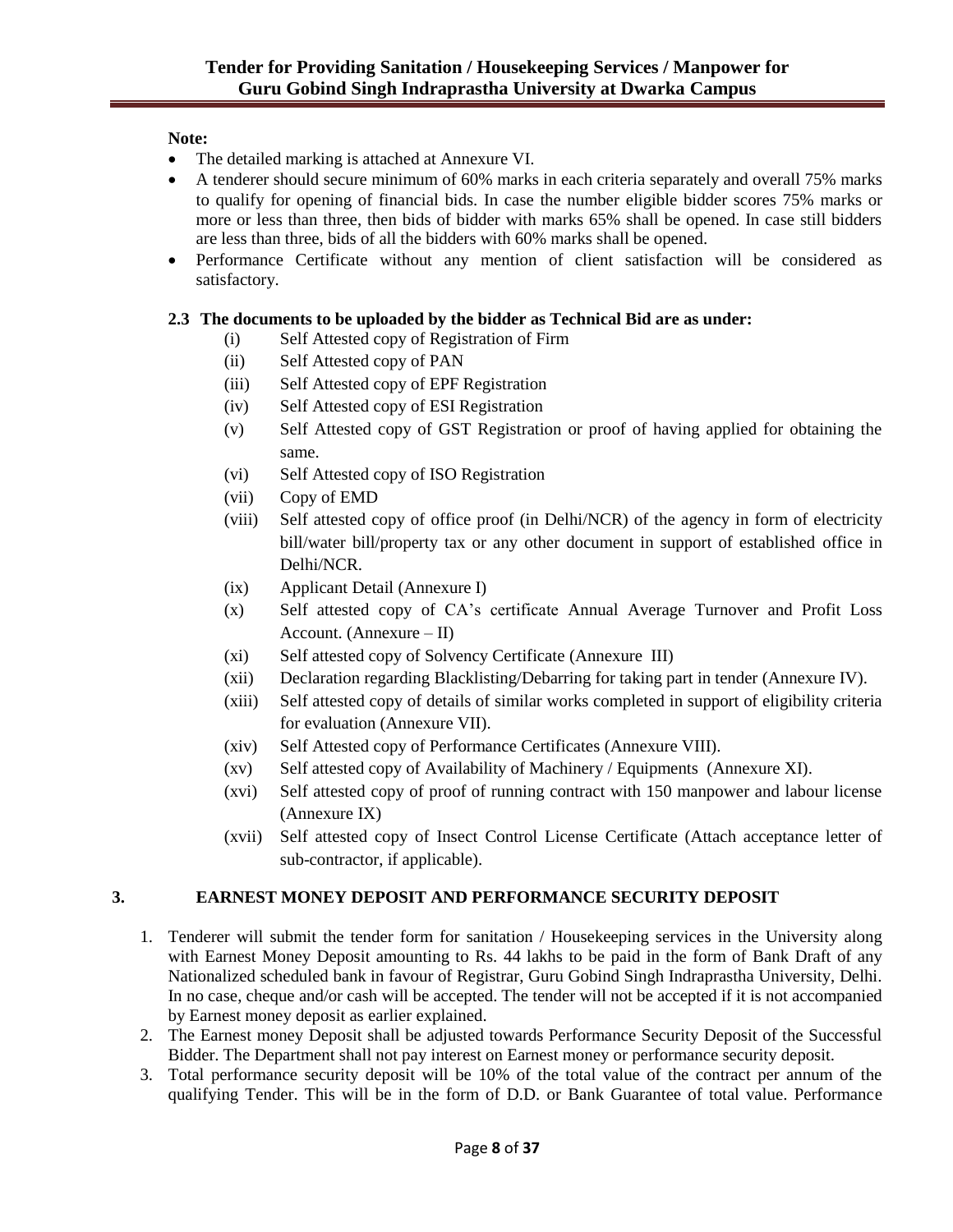### **Note:**

- The detailed marking is attached at Annexure VI.
- A tenderer should secure minimum of 60% marks in each criteria separately and overall 75% marks to qualify for opening of financial bids. In case the number eligible bidder scores 75% marks or more or less than three, then bids of bidder with marks 65% shall be opened. In case still bidders are less than three, bids of all the bidders with 60% marks shall be opened.
- Performance Certificate without any mention of client satisfaction will be considered as satisfactory.

## **2.3 The documents to be uploaded by the bidder as Technical Bid are as under:**

- (i) Self Attested copy of Registration of Firm
- (ii) Self Attested copy of PAN
- (iii) Self Attested copy of EPF Registration
- (iv) Self Attested copy of ESI Registration
- (v) Self Attested copy of GST Registration or proof of having applied for obtaining the same.
- (vi) Self Attested copy of ISO Registration
- (vii) Copy of EMD
- (viii) Self attested copy of office proof (in Delhi/NCR) of the agency in form of electricity bill/water bill/property tax or any other document in support of established office in Delhi/NCR.
- (ix) Applicant Detail (Annexure I)
- (x) Self attested copy of CA"s certificate Annual Average Turnover and Profit Loss Account. (Annexure – II)
- (xi) Self attested copy of Solvency Certificate (Annexure III)
- (xii) Declaration regarding Blacklisting/Debarring for taking part in tender (Annexure IV).
- (xiii) Self attested copy of details of similar works completed in support of eligibility criteria for evaluation (Annexure VII).
- (xiv) Self Attested copy of Performance Certificates (Annexure VIII).
- (xv) Self attested copy of Availability of Machinery / Equipments (Annexure XI).
- (xvi) Self attested copy of proof of running contract with 150 manpower and labour license (Annexure IX)
- (xvii) Self attested copy of Insect Control License Certificate (Attach acceptance letter of sub-contractor, if applicable).

### **3. EARNEST MONEY DEPOSIT AND PERFORMANCE SECURITY DEPOSIT**

- 1. Tenderer will submit the tender form for sanitation / Housekeeping services in the University along with Earnest Money Deposit amounting to Rs. 44 lakhs to be paid in the form of Bank Draft of any Nationalized scheduled bank in favour of Registrar, Guru Gobind Singh Indraprastha University, Delhi. In no case, cheque and/or cash will be accepted. The tender will not be accepted if it is not accompanied by Earnest money deposit as earlier explained.
- 2. The Earnest money Deposit shall be adjusted towards Performance Security Deposit of the Successful Bidder. The Department shall not pay interest on Earnest money or performance security deposit.
- 3. Total performance security deposit will be 10% of the total value of the contract per annum of the qualifying Tender. This will be in the form of D.D. or Bank Guarantee of total value. Performance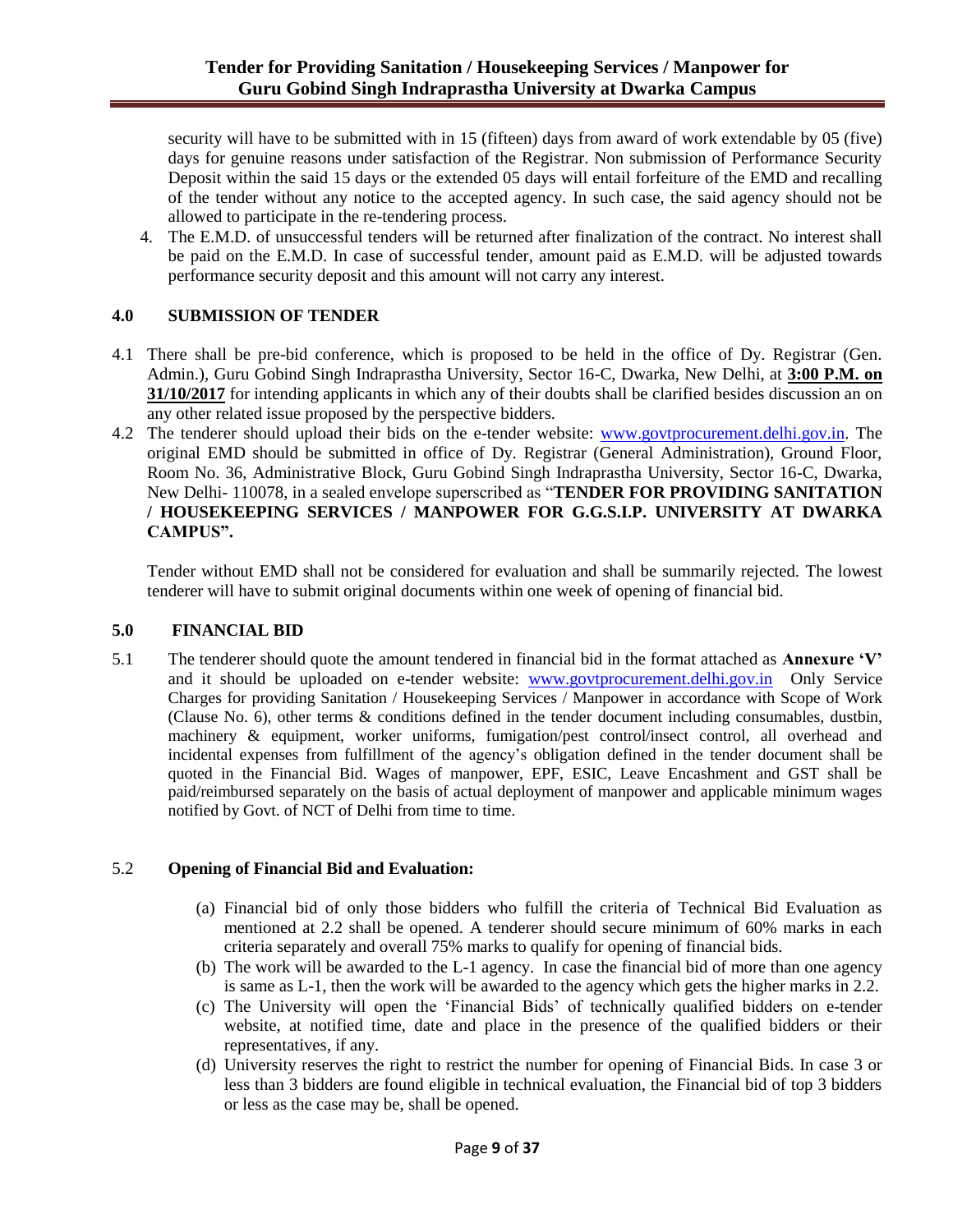security will have to be submitted with in 15 (fifteen) days from award of work extendable by 05 (five) days for genuine reasons under satisfaction of the Registrar. Non submission of Performance Security Deposit within the said 15 days or the extended 05 days will entail forfeiture of the EMD and recalling of the tender without any notice to the accepted agency. In such case, the said agency should not be allowed to participate in the re-tendering process.

4. The E.M.D. of unsuccessful tenders will be returned after finalization of the contract. No interest shall be paid on the E.M.D. In case of successful tender, amount paid as E.M.D. will be adjusted towards performance security deposit and this amount will not carry any interest.

### **4.0 SUBMISSION OF TENDER**

- 4.1 There shall be pre-bid conference, which is proposed to be held in the office of Dy. Registrar (Gen. Admin.), Guru Gobind Singh Indraprastha University, Sector 16-C, Dwarka, New Delhi, at **3:00 P.M. on 31/10/2017** for intending applicants in which any of their doubts shall be clarified besides discussion an on any other related issue proposed by the perspective bidders.
- 4.2 The tenderer should upload their bids on the e-tender website: [www.govtprocurement.delhi.gov.in.](http://www.govtprocurement.delhi.gov.in/) The original EMD should be submitted in office of Dy. Registrar (General Administration), Ground Floor, Room No. 36, Administrative Block, Guru Gobind Singh Indraprastha University, Sector 16-C, Dwarka, New Delhi- 110078, in a sealed envelope superscribed as "**TENDER FOR PROVIDING SANITATION / HOUSEKEEPING SERVICES / MANPOWER FOR G.G.S.I.P. UNIVERSITY AT DWARKA CAMPUS".**

Tender without EMD shall not be considered for evaluation and shall be summarily rejected. The lowest tenderer will have to submit original documents within one week of opening of financial bid.

### **5.0 FINANCIAL BID**

5.1 The tenderer should quote the amount tendered in financial bid in the format attached as **Annexure 'V'**  and it should be uploaded on e-tender website: [www.govtprocurement.delhi.gov.in](http://www.govtprocurement.delhi.gov.in/) Only Service Charges for providing Sanitation / Housekeeping Services / Manpower in accordance with Scope of Work (Clause No. 6), other terms & conditions defined in the tender document including consumables, dustbin, machinery & equipment, worker uniforms, fumigation/pest control/insect control, all overhead and incidental expenses from fulfillment of the agency"s obligation defined in the tender document shall be quoted in the Financial Bid. Wages of manpower, EPF, ESIC, Leave Encashment and GST shall be paid/reimbursed separately on the basis of actual deployment of manpower and applicable minimum wages notified by Govt. of NCT of Delhi from time to time.

### 5.2 **Opening of Financial Bid and Evaluation:**

- (a) Financial bid of only those bidders who fulfill the criteria of Technical Bid Evaluation as mentioned at 2.2 shall be opened. A tenderer should secure minimum of 60% marks in each criteria separately and overall 75% marks to qualify for opening of financial bids.
- (b) The work will be awarded to the L-1 agency. In case the financial bid of more than one agency is same as L-1, then the work will be awarded to the agency which gets the higher marks in 2.2.
- (c) The University will open the "Financial Bids" of technically qualified bidders on e-tender website, at notified time, date and place in the presence of the qualified bidders or their representatives, if any.
- (d) University reserves the right to restrict the number for opening of Financial Bids. In case 3 or less than 3 bidders are found eligible in technical evaluation, the Financial bid of top 3 bidders or less as the case may be, shall be opened.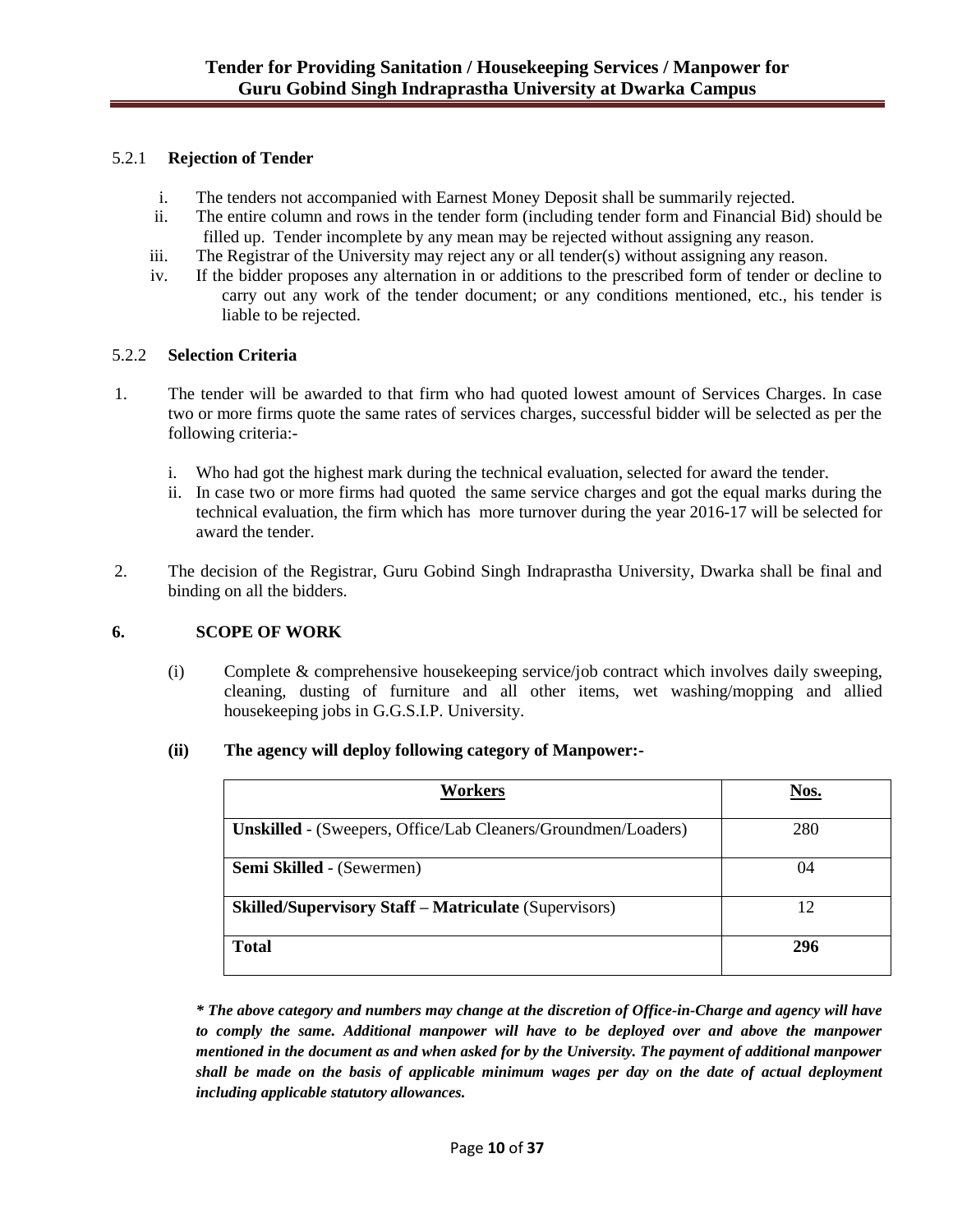### 5.2.1 **Rejection of Tender**

- i. The tenders not accompanied with Earnest Money Deposit shall be summarily rejected.
- ii. The entire column and rows in the tender form (including tender form and Financial Bid) should be filled up. Tender incomplete by any mean may be rejected without assigning any reason.
- iii. The Registrar of the University may reject any or all tender(s) without assigning any reason.
- iv. If the bidder proposes any alternation in or additions to the prescribed form of tender or decline to carry out any work of the tender document; or any conditions mentioned, etc., his tender is liable to be rejected.

### 5.2.2 **Selection Criteria**

- 1. The tender will be awarded to that firm who had quoted lowest amount of Services Charges. In case two or more firms quote the same rates of services charges, successful bidder will be selected as per the following criteria:
	- i. Who had got the highest mark during the technical evaluation, selected for award the tender.
	- ii. In case two or more firms had quoted the same service charges and got the equal marks during the technical evaluation, the firm which has more turnover during the year 2016-17 will be selected for award the tender.
- 2. The decision of the Registrar, Guru Gobind Singh Indraprastha University, Dwarka shall be final and binding on all the bidders.

### **6. SCOPE OF WORK**

(i) Complete & comprehensive housekeeping service/job contract which involves daily sweeping, cleaning, dusting of furniture and all other items, wet washing/mopping and allied housekeeping jobs in G.G.S.I.P. University.

### **(ii) The agency will deploy following category of Manpower:-**

| Workers                                                              | Nos. |
|----------------------------------------------------------------------|------|
| <b>Unskilled</b> - (Sweepers, Office/Lab Cleaners/Groundmen/Loaders) | 280  |
| <b>Semi Skilled</b> - (Sewermen)                                     | 04   |
| <b>Skilled/Supervisory Staff - Matriculate (Supervisors)</b>         | 12   |
| <b>Total</b>                                                         | 296  |

*\* The above category and numbers may change at the discretion of Office-in-Charge and agency will have to comply the same. Additional manpower will have to be deployed over and above the manpower mentioned in the document as and when asked for by the University. The payment of additional manpower shall be made on the basis of applicable minimum wages per day on the date of actual deployment including applicable statutory allowances.*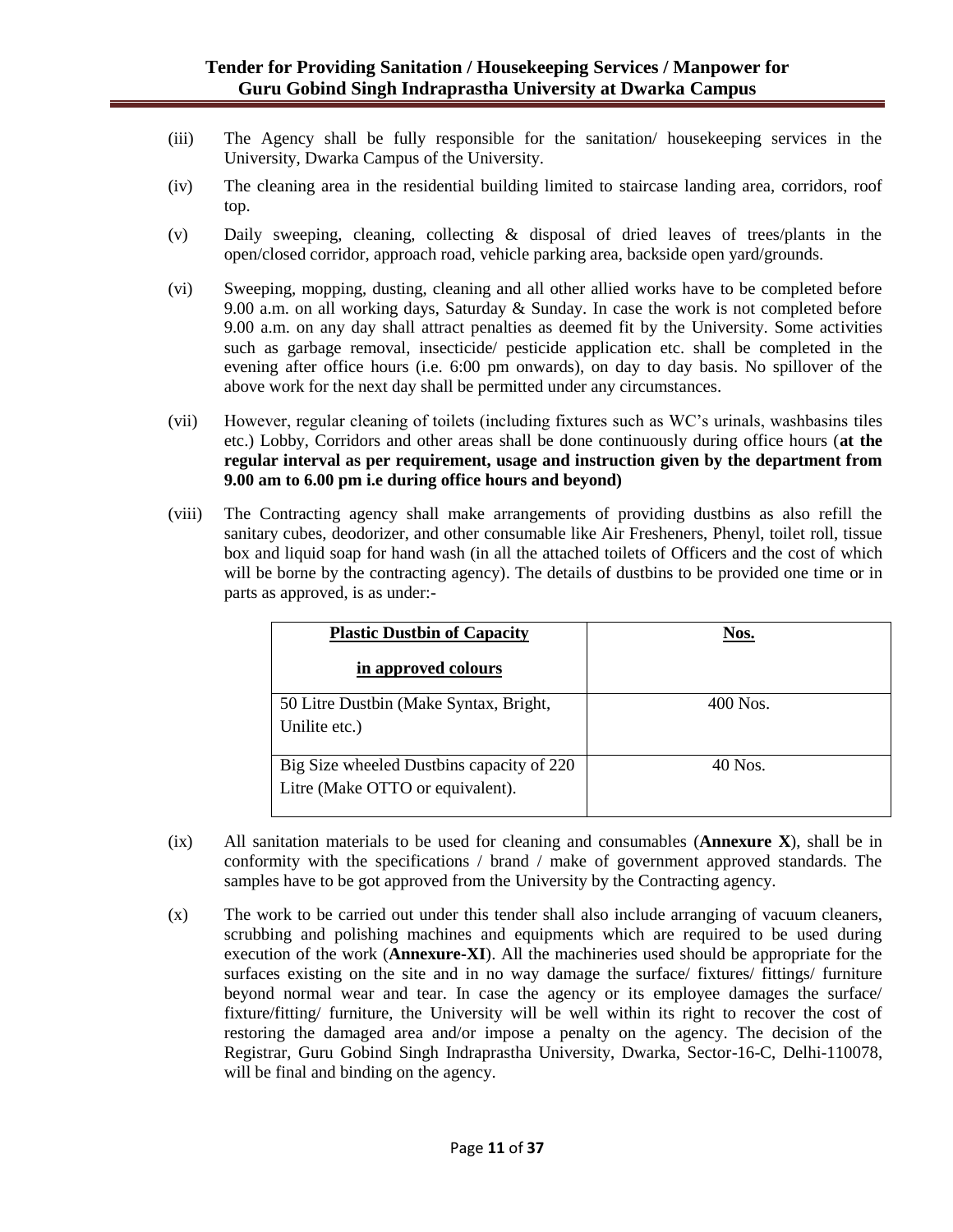- (iii) The Agency shall be fully responsible for the sanitation/ housekeeping services in the University, Dwarka Campus of the University.
- (iv) The cleaning area in the residential building limited to staircase landing area, corridors, roof top.
- (v) Daily sweeping, cleaning, collecting & disposal of dried leaves of trees/plants in the open/closed corridor, approach road, vehicle parking area, backside open yard/grounds.
- (vi) Sweeping, mopping, dusting, cleaning and all other allied works have to be completed before 9.00 a.m. on all working days, Saturday & Sunday. In case the work is not completed before 9.00 a.m. on any day shall attract penalties as deemed fit by the University. Some activities such as garbage removal, insecticide/ pesticide application etc. shall be completed in the evening after office hours (i.e. 6:00 pm onwards), on day to day basis. No spillover of the above work for the next day shall be permitted under any circumstances.
- (vii) However, regular cleaning of toilets (including fixtures such as WC"s urinals, washbasins tiles etc.) Lobby, Corridors and other areas shall be done continuously during office hours (**at the regular interval as per requirement, usage and instruction given by the department from 9.00 am to 6.00 pm i.e during office hours and beyond)**
- (viii) The Contracting agency shall make arrangements of providing dustbins as also refill the sanitary cubes, deodorizer, and other consumable like Air Fresheners, Phenyl, toilet roll, tissue box and liquid soap for hand wash (in all the attached toilets of Officers and the cost of which will be borne by the contracting agency). The details of dustbins to be provided one time or in parts as approved, is as under:-

| <b>Plastic Dustbin of Capacity</b>        | Nos.     |
|-------------------------------------------|----------|
| in approved colours                       |          |
| 50 Litre Dustbin (Make Syntax, Bright,    | 400 Nos. |
| Unilite etc.)                             |          |
|                                           |          |
| Big Size wheeled Dustbins capacity of 220 | 40 Nos.  |
| Litre (Make OTTO or equivalent).          |          |
|                                           |          |

- (ix) All sanitation materials to be used for cleaning and consumables (**Annexure X**), shall be in conformity with the specifications / brand / make of government approved standards. The samples have to be got approved from the University by the Contracting agency.
- (x) The work to be carried out under this tender shall also include arranging of vacuum cleaners, scrubbing and polishing machines and equipments which are required to be used during execution of the work (**Annexure-XI**). All the machineries used should be appropriate for the surfaces existing on the site and in no way damage the surface/ fixtures/ fittings/ furniture beyond normal wear and tear. In case the agency or its employee damages the surface/ fixture/fitting/ furniture, the University will be well within its right to recover the cost of restoring the damaged area and/or impose a penalty on the agency. The decision of the Registrar, Guru Gobind Singh Indraprastha University, Dwarka, Sector-16-C, Delhi-110078, will be final and binding on the agency.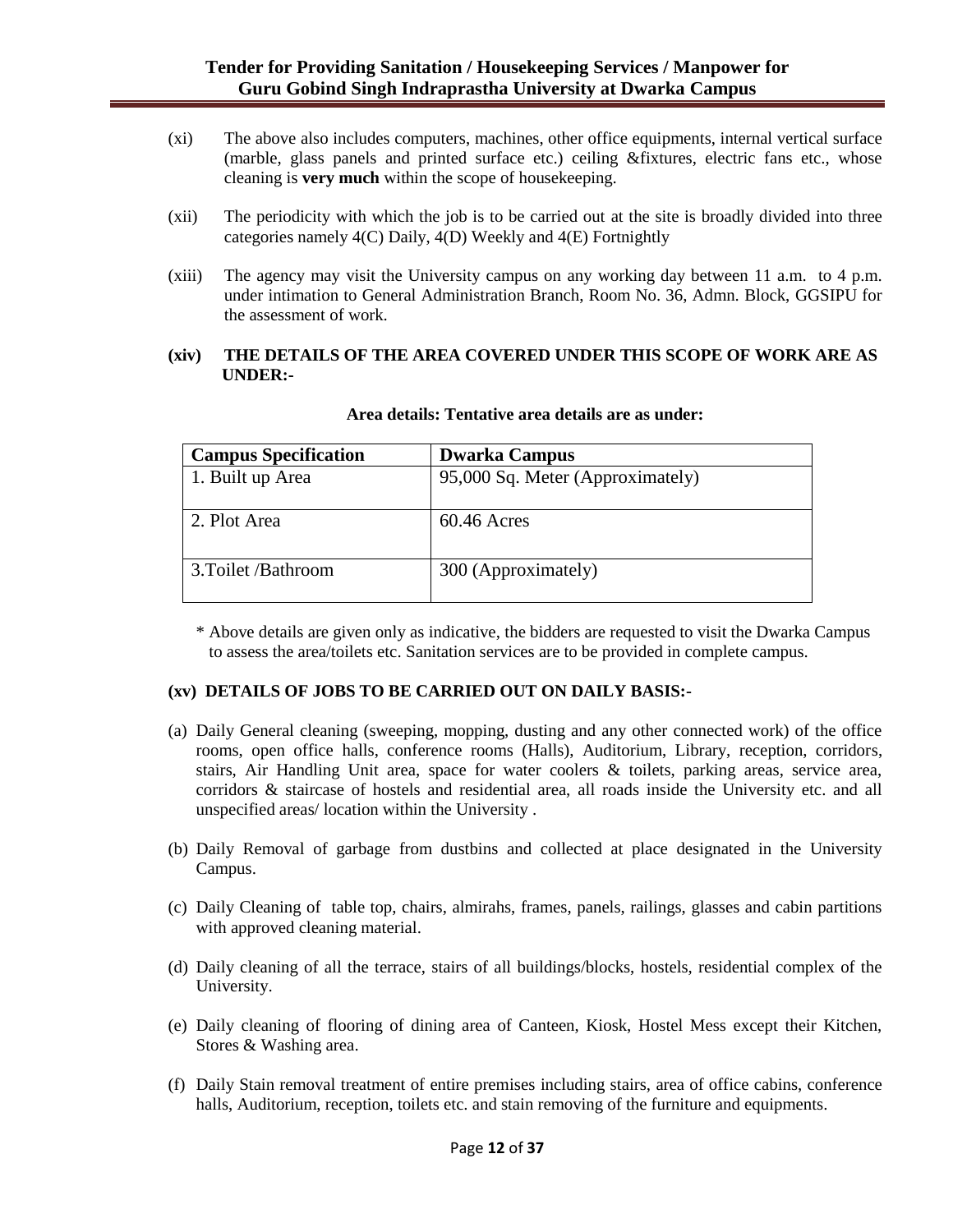- (xi) The above also includes computers, machines, other office equipments, internal vertical surface (marble, glass panels and printed surface etc.) ceiling &fixtures, electric fans etc., whose cleaning is **very much** within the scope of housekeeping.
- (xii) The periodicity with which the job is to be carried out at the site is broadly divided into three categories namely 4(C) Daily, 4(D) Weekly and 4(E) Fortnightly
- (xiii) The agency may visit the University campus on any working day between 11 a.m. to 4 p.m. under intimation to General Administration Branch, Room No. 36, Admn. Block, GGSIPU for the assessment of work.

### **(xiv) THE DETAILS OF THE AREA COVERED UNDER THIS SCOPE OF WORK ARE AS UNDER:-**

| <b>Campus Specification</b> | <b>Dwarka Campus</b>             |
|-----------------------------|----------------------------------|
| 1. Built up Area            | 95,000 Sq. Meter (Approximately) |
|                             |                                  |
| 2. Plot Area                | $60.46$ Acres                    |
|                             |                                  |
| 3. Toilet / Bathroom        | 300 (Approximately)              |
|                             |                                  |

#### **Area details: Tentative area details are as under:**

\* Above details are given only as indicative, the bidders are requested to visit the Dwarka Campus to assess the area/toilets etc. Sanitation services are to be provided in complete campus.

### **(xv) DETAILS OF JOBS TO BE CARRIED OUT ON DAILY BASIS:-**

- (a) Daily General cleaning (sweeping, mopping, dusting and any other connected work) of the office rooms, open office halls, conference rooms (Halls), Auditorium, Library, reception, corridors, stairs, Air Handling Unit area, space for water coolers & toilets, parking areas, service area, corridors & staircase of hostels and residential area, all roads inside the University etc. and all unspecified areas/ location within the University .
- (b) Daily Removal of garbage from dustbins and collected at place designated in the University Campus.
- (c) Daily Cleaning of table top, chairs, almirahs, frames, panels, railings, glasses and cabin partitions with approved cleaning material.
- (d) Daily cleaning of all the terrace, stairs of all buildings/blocks, hostels, residential complex of the University.
- (e) Daily cleaning of flooring of dining area of Canteen, Kiosk, Hostel Mess except their Kitchen, Stores & Washing area.
- (f) Daily Stain removal treatment of entire premises including stairs, area of office cabins, conference halls, Auditorium, reception, toilets etc. and stain removing of the furniture and equipments.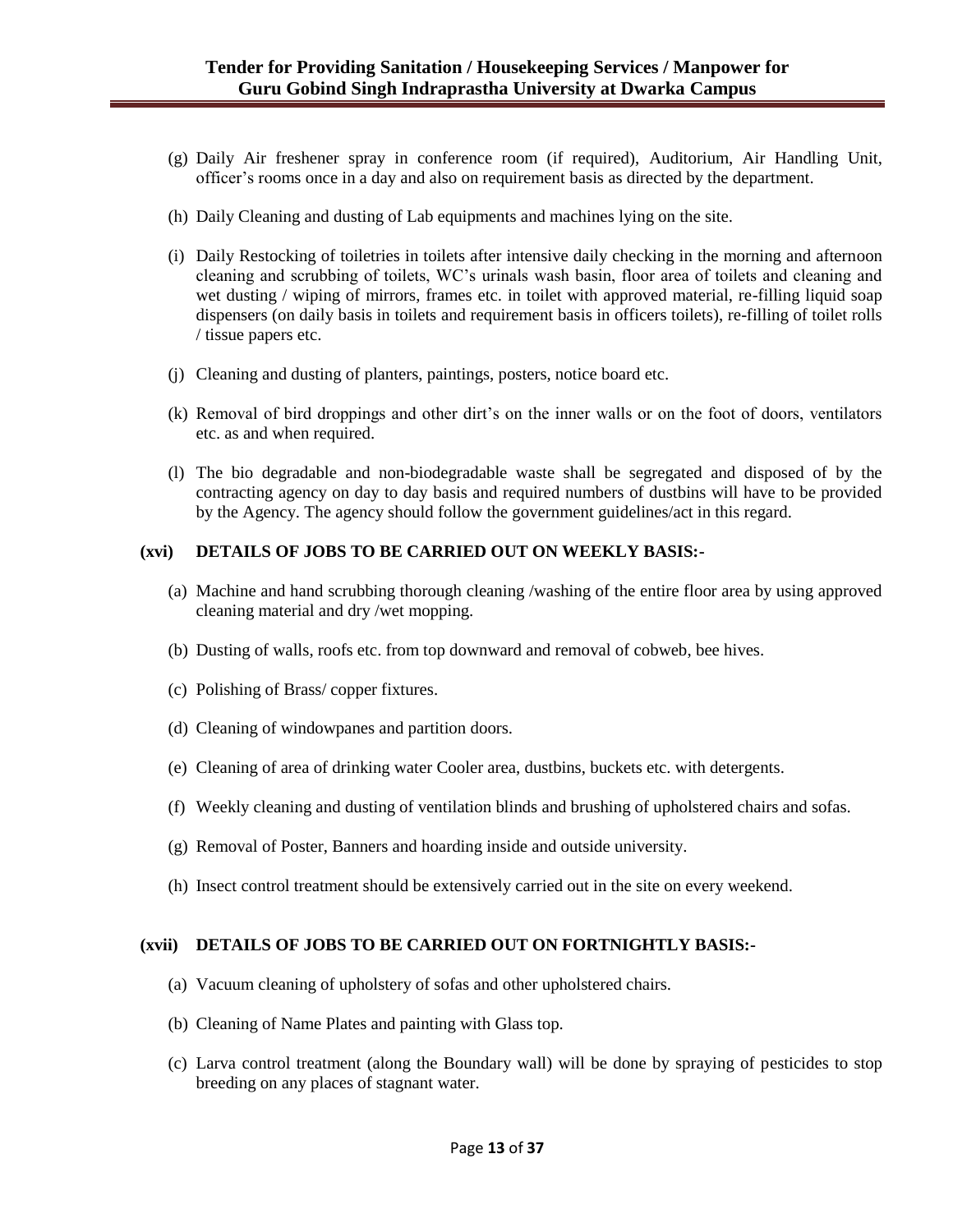- (g) Daily Air freshener spray in conference room (if required), Auditorium, Air Handling Unit, officer"s rooms once in a day and also on requirement basis as directed by the department.
- (h) Daily Cleaning and dusting of Lab equipments and machines lying on the site.
- (i) Daily Restocking of toiletries in toilets after intensive daily checking in the morning and afternoon cleaning and scrubbing of toilets, WC"s urinals wash basin, floor area of toilets and cleaning and wet dusting / wiping of mirrors, frames etc. in toilet with approved material, re-filling liquid soap dispensers (on daily basis in toilets and requirement basis in officers toilets), re-filling of toilet rolls / tissue papers etc.
- (j) Cleaning and dusting of planters, paintings, posters, notice board etc.
- (k) Removal of bird droppings and other dirt"s on the inner walls or on the foot of doors, ventilators etc. as and when required.
- (l) The bio degradable and non-biodegradable waste shall be segregated and disposed of by the contracting agency on day to day basis and required numbers of dustbins will have to be provided by the Agency. The agency should follow the government guidelines/act in this regard.

### **(xvi) DETAILS OF JOBS TO BE CARRIED OUT ON WEEKLY BASIS:-**

- (a) Machine and hand scrubbing thorough cleaning /washing of the entire floor area by using approved cleaning material and dry /wet mopping.
- (b) Dusting of walls, roofs etc. from top downward and removal of cobweb, bee hives.
- (c) Polishing of Brass/ copper fixtures.
- (d) Cleaning of windowpanes and partition doors.
- (e) Cleaning of area of drinking water Cooler area, dustbins, buckets etc. with detergents.
- (f) Weekly cleaning and dusting of ventilation blinds and brushing of upholstered chairs and sofas.
- (g) Removal of Poster, Banners and hoarding inside and outside university.
- (h) Insect control treatment should be extensively carried out in the site on every weekend.

### **(xvii) DETAILS OF JOBS TO BE CARRIED OUT ON FORTNIGHTLY BASIS:-**

- (a) Vacuum cleaning of upholstery of sofas and other upholstered chairs.
- (b) Cleaning of Name Plates and painting with Glass top.
- (c) Larva control treatment (along the Boundary wall) will be done by spraying of pesticides to stop breeding on any places of stagnant water.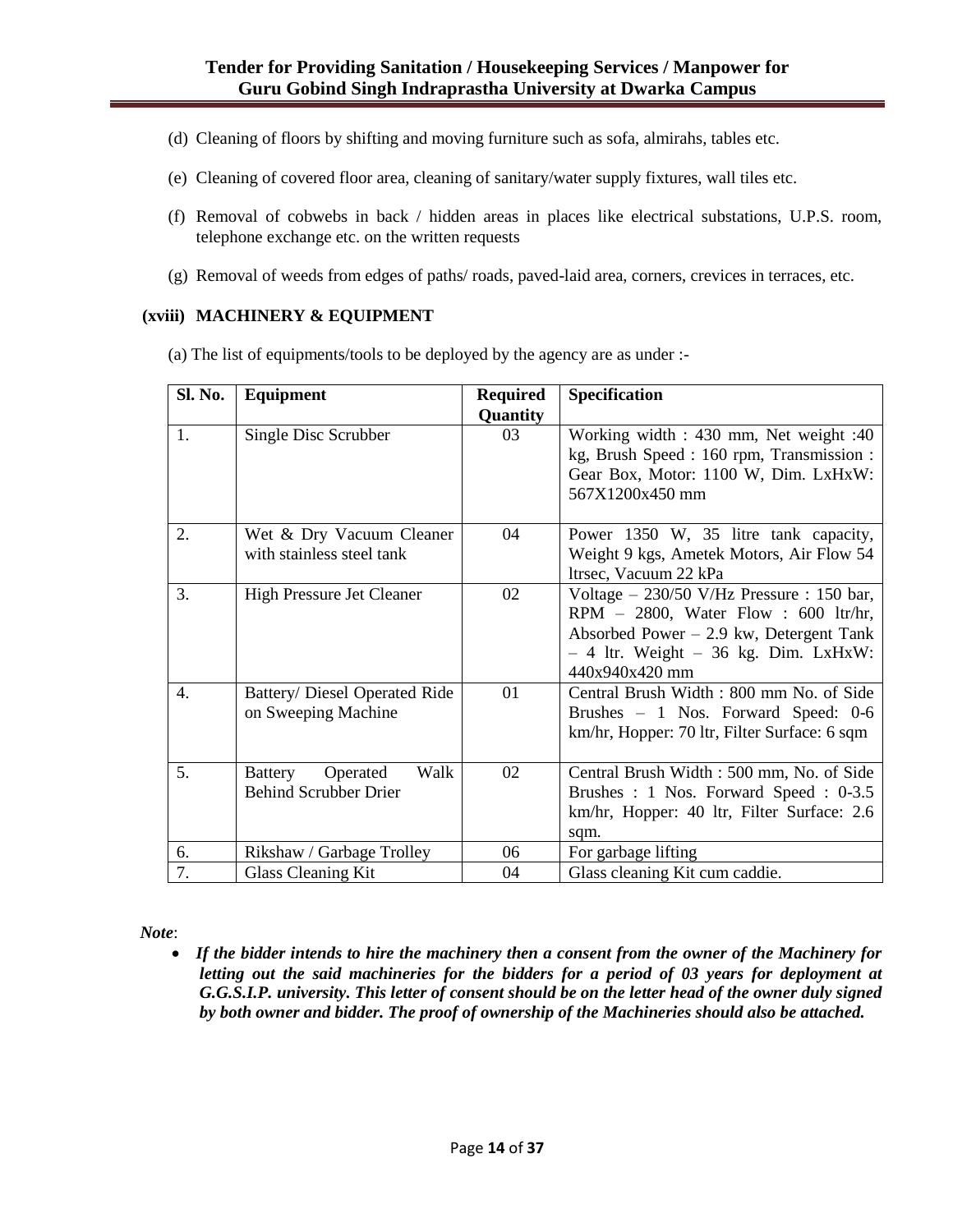- (d) Cleaning of floors by shifting and moving furniture such as sofa, almirahs, tables etc.
- (e) Cleaning of covered floor area, cleaning of sanitary/water supply fixtures, wall tiles etc.
- (f) Removal of cobwebs in back / hidden areas in places like electrical substations, U.P.S. room, telephone exchange etc. on the written requests
- (g) Removal of weeds from edges of paths/ roads, paved-laid area, corners, crevices in terraces, etc.

#### **(xviii) MACHINERY & EQUIPMENT**

(a) The list of equipments/tools to be deployed by the agency are as under :-

| Sl. No.          | <b>Equipment</b>                                                   | <b>Required</b> | Specification                                                                                                                                                                               |
|------------------|--------------------------------------------------------------------|-----------------|---------------------------------------------------------------------------------------------------------------------------------------------------------------------------------------------|
| 1.               | Single Disc Scrubber                                               | Quantity<br>03  | Working width : 430 mm, Net weight : 40<br>kg, Brush Speed : 160 rpm, Transmission :<br>Gear Box, Motor: 1100 W, Dim. LxHxW:<br>567X1200x450 mm                                             |
| 2.               | Wet & Dry Vacuum Cleaner<br>with stainless steel tank              | 04              | Power 1350 W, 35 litre tank capacity,<br>Weight 9 kgs, Ametek Motors, Air Flow 54<br>ltrsec, Vacuum 22 kPa                                                                                  |
| 3.               | <b>High Pressure Jet Cleaner</b>                                   | 02              | Voltage - 230/50 V/Hz Pressure : 150 bar,<br>RPM $-$ 2800, Water Flow : 600 ltr/hr,<br>Absorbed Power $-2.9$ kw, Detergent Tank<br>$-4$ ltr. Weight $-36$ kg. Dim. LxHxW:<br>440x940x420 mm |
| $\overline{4}$ . | Battery/ Diesel Operated Ride<br>on Sweeping Machine               | 01              | Central Brush Width: 800 mm No. of Side<br>Brushes - 1 Nos. Forward Speed: 0-6<br>km/hr, Hopper: 70 ltr, Filter Surface: 6 sqm                                                              |
| 5.               | Walk<br>Operated<br><b>Battery</b><br><b>Behind Scrubber Drier</b> | 02              | Central Brush Width: 500 mm, No. of Side<br>Brushes : 1 Nos. Forward Speed : 0-3.5<br>km/hr, Hopper: 40 ltr, Filter Surface: 2.6<br>sqm.                                                    |
| 6.               | Rikshaw / Garbage Trolley                                          | 06              | For garbage lifting                                                                                                                                                                         |
| 7.               | Glass Cleaning Kit                                                 | 04              | Glass cleaning Kit cum caddie.                                                                                                                                                              |

*Note*:

 *If the bidder intends to hire the machinery then a consent from the owner of the Machinery for letting out the said machineries for the bidders for a period of 03 years for deployment at G.G.S.I.P. university. This letter of consent should be on the letter head of the owner duly signed by both owner and bidder. The proof of ownership of the Machineries should also be attached.*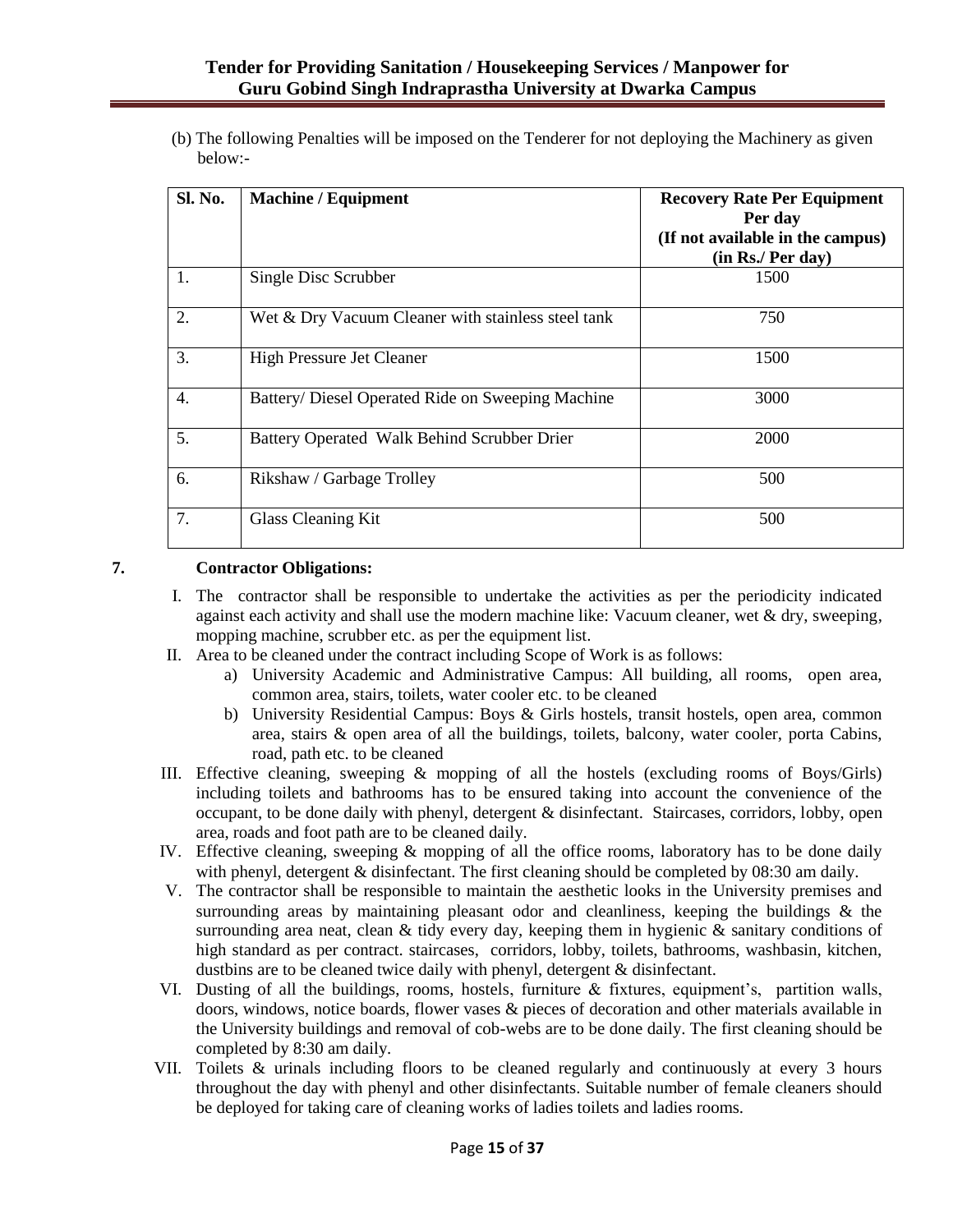## **Tender for Providing Sanitation / Housekeeping Services / Manpower for Guru Gobind Singh Indraprastha University at Dwarka Campus**

(b) The following Penalties will be imposed on the Tenderer for not deploying the Machinery as given below:-

| <b>Sl. No.</b> | <b>Machine / Equipment</b>                         | <b>Recovery Rate Per Equipment</b><br>Per day<br>(If not available in the campus)<br>(in Rs./ Per day) |
|----------------|----------------------------------------------------|--------------------------------------------------------------------------------------------------------|
| 1.             | Single Disc Scrubber                               | 1500                                                                                                   |
| 2.             | Wet & Dry Vacuum Cleaner with stainless steel tank | 750                                                                                                    |
| 3.             | <b>High Pressure Jet Cleaner</b>                   | 1500                                                                                                   |
| 4.             | Battery/Diesel Operated Ride on Sweeping Machine   | 3000                                                                                                   |
| 5.             | Battery Operated Walk Behind Scrubber Drier        | 2000                                                                                                   |
| 6.             | Rikshaw / Garbage Trolley                          | 500                                                                                                    |
| 7.             | Glass Cleaning Kit                                 | 500                                                                                                    |

## **7. Contractor Obligations:**

- I. The contractor shall be responsible to undertake the activities as per the periodicity indicated against each activity and shall use the modern machine like: Vacuum cleaner, wet  $\&$  dry, sweeping, mopping machine, scrubber etc. as per the equipment list.
- II. Area to be cleaned under the contract including Scope of Work is as follows:
	- a) University Academic and Administrative Campus: All building, all rooms, open area, common area, stairs, toilets, water cooler etc. to be cleaned
	- b) University Residential Campus: Boys & Girls hostels, transit hostels, open area, common area, stairs & open area of all the buildings, toilets, balcony, water cooler, porta Cabins, road, path etc. to be cleaned
- III. Effective cleaning, sweeping & mopping of all the hostels (excluding rooms of Boys/Girls) including toilets and bathrooms has to be ensured taking into account the convenience of the occupant, to be done daily with phenyl, detergent & disinfectant. Staircases, corridors, lobby, open area, roads and foot path are to be cleaned daily.
- IV. Effective cleaning, sweeping & mopping of all the office rooms, laboratory has to be done daily with phenyl, detergent & disinfectant. The first cleaning should be completed by 08:30 am daily.
- V. The contractor shall be responsible to maintain the aesthetic looks in the University premises and surrounding areas by maintaining pleasant odor and cleanliness, keeping the buildings  $\&$  the surrounding area neat, clean  $&$  tidy every day, keeping them in hygienic  $&$  sanitary conditions of high standard as per contract. staircases, corridors, lobby, toilets, bathrooms, washbasin, kitchen, dustbins are to be cleaned twice daily with phenyl, detergent & disinfectant.
- VI. Dusting of all the buildings, rooms, hostels, furniture  $\&$  fixtures, equipment's, partition walls, doors, windows, notice boards, flower vases & pieces of decoration and other materials available in the University buildings and removal of cob-webs are to be done daily. The first cleaning should be completed by 8:30 am daily.
- VII. Toilets & urinals including floors to be cleaned regularly and continuously at every 3 hours throughout the day with phenyl and other disinfectants. Suitable number of female cleaners should be deployed for taking care of cleaning works of ladies toilets and ladies rooms.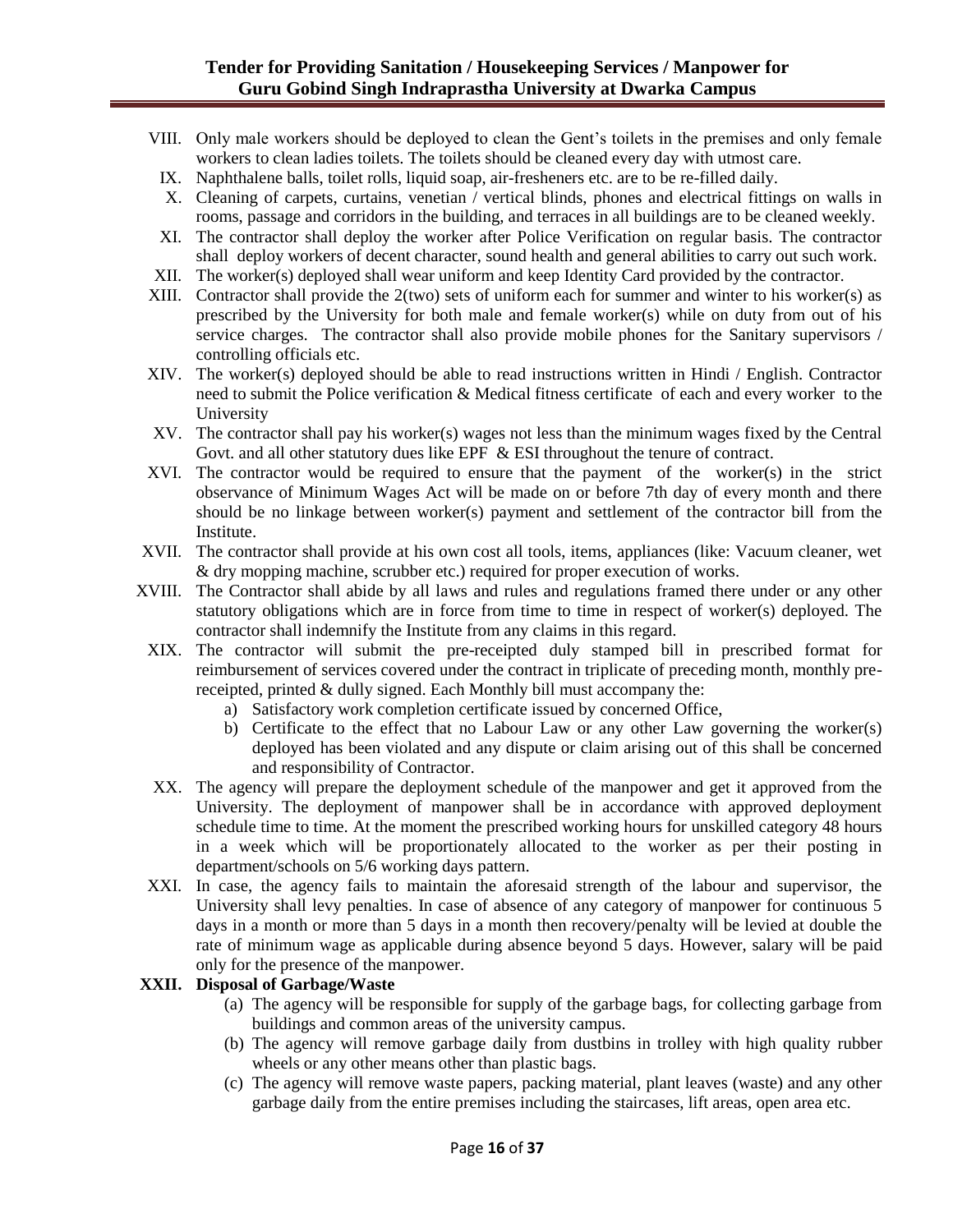### **Tender for Providing Sanitation / Housekeeping Services / Manpower for Guru Gobind Singh Indraprastha University at Dwarka Campus**

- VIII. Only male workers should be deployed to clean the Gent"s toilets in the premises and only female workers to clean ladies toilets. The toilets should be cleaned every day with utmost care.
- IX. Naphthalene balls, toilet rolls, liquid soap, air-fresheners etc. are to be re-filled daily.
- X. Cleaning of carpets, curtains, venetian / vertical blinds, phones and electrical fittings on walls in rooms, passage and corridors in the building, and terraces in all buildings are to be cleaned weekly.
- XI. The contractor shall deploy the worker after Police Verification on regular basis. The contractor shall deploy workers of decent character, sound health and general abilities to carry out such work.
- XII. The worker(s) deployed shall wear uniform and keep Identity Card provided by the contractor.
- XIII. Contractor shall provide the 2(two) sets of uniform each for summer and winter to his worker(s) as prescribed by the University for both male and female worker(s) while on duty from out of his service charges. The contractor shall also provide mobile phones for the Sanitary supervisors / controlling officials etc.
- XIV. The worker(s) deployed should be able to read instructions written in Hindi / English. Contractor need to submit the Police verification & Medical fitness certificate of each and every worker to the University
- XV. The contractor shall pay his worker(s) wages not less than the minimum wages fixed by the Central Govt. and all other statutory dues like EPF & ESI throughout the tenure of contract.
- XVI. The contractor would be required to ensure that the payment of the worker(s) in the strict observance of Minimum Wages Act will be made on or before 7th day of every month and there should be no linkage between worker(s) payment and settlement of the contractor bill from the Institute.
- XVII. The contractor shall provide at his own cost all tools, items, appliances (like: Vacuum cleaner, wet & dry mopping machine, scrubber etc.) required for proper execution of works.
- XVIII. The Contractor shall abide by all laws and rules and regulations framed there under or any other statutory obligations which are in force from time to time in respect of worker(s) deployed. The contractor shall indemnify the Institute from any claims in this regard.
- XIX. The contractor will submit the pre-receipted duly stamped bill in prescribed format for reimbursement of services covered under the contract in triplicate of preceding month, monthly prereceipted, printed & dully signed. Each Monthly bill must accompany the:
	- a) Satisfactory work completion certificate issued by concerned Office,
	- b) Certificate to the effect that no Labour Law or any other Law governing the worker(s) deployed has been violated and any dispute or claim arising out of this shall be concerned and responsibility of Contractor.
- XX. The agency will prepare the deployment schedule of the manpower and get it approved from the University. The deployment of manpower shall be in accordance with approved deployment schedule time to time. At the moment the prescribed working hours for unskilled category 48 hours in a week which will be proportionately allocated to the worker as per their posting in department/schools on 5/6 working days pattern.
- XXI. In case, the agency fails to maintain the aforesaid strength of the labour and supervisor, the University shall levy penalties. In case of absence of any category of manpower for continuous 5 days in a month or more than 5 days in a month then recovery/penalty will be levied at double the rate of minimum wage as applicable during absence beyond 5 days. However, salary will be paid only for the presence of the manpower.

### **XXII. Disposal of Garbage/Waste**

- (a) The agency will be responsible for supply of the garbage bags, for collecting garbage from buildings and common areas of the university campus.
- (b) The agency will remove garbage daily from dustbins in trolley with high quality rubber wheels or any other means other than plastic bags.
- (c) The agency will remove waste papers, packing material, plant leaves (waste) and any other garbage daily from the entire premises including the staircases, lift areas, open area etc.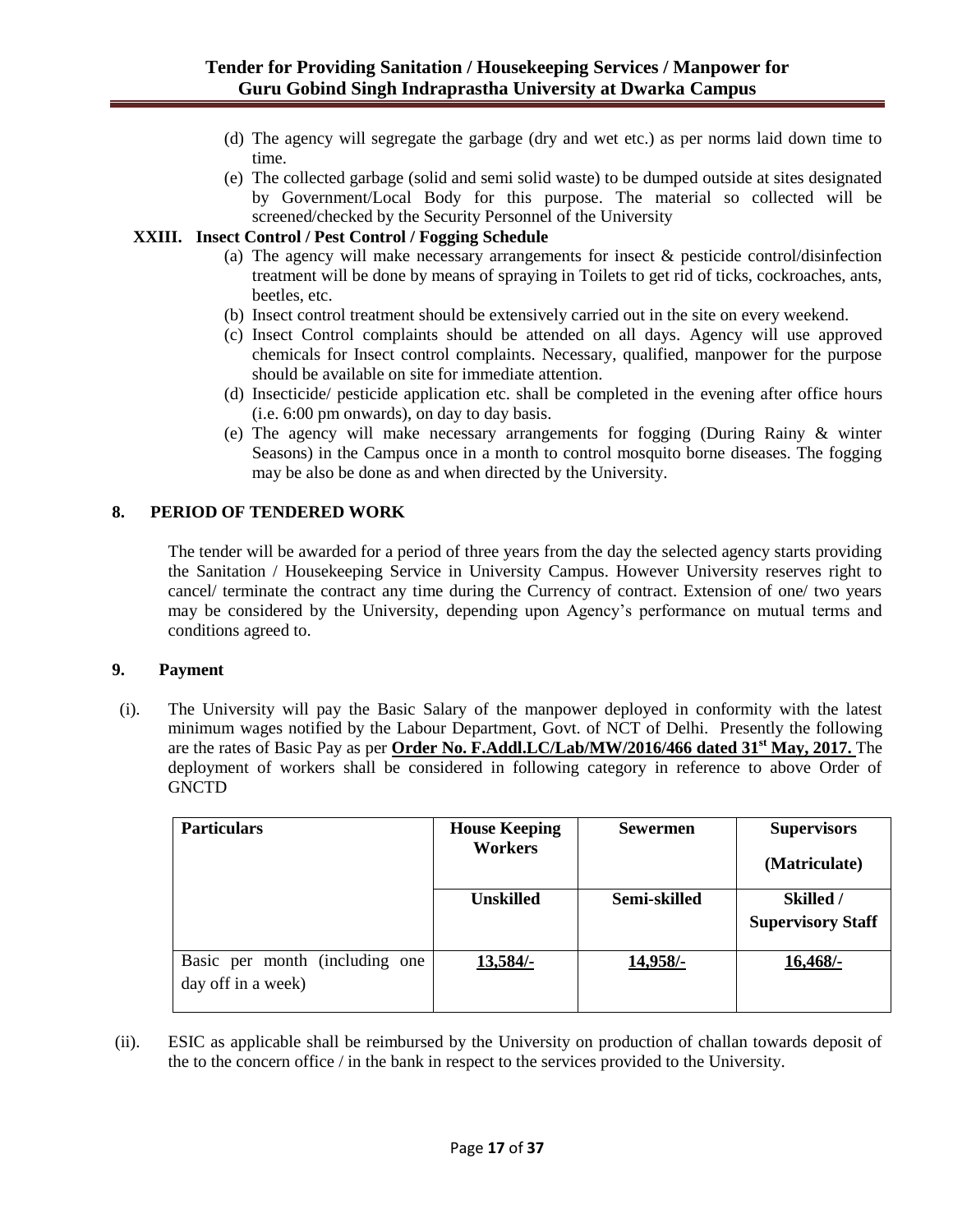- (d) The agency will segregate the garbage (dry and wet etc.) as per norms laid down time to time.
- (e) The collected garbage (solid and semi solid waste) to be dumped outside at sites designated by Government/Local Body for this purpose. The material so collected will be screened/checked by the Security Personnel of the University

### **XXIII. Insect Control / Pest Control / Fogging Schedule**

- (a) The agency will make necessary arrangements for insect & pesticide control/disinfection treatment will be done by means of spraying in Toilets to get rid of ticks, cockroaches, ants, beetles, etc.
- (b) Insect control treatment should be extensively carried out in the site on every weekend.
- (c) Insect Control complaints should be attended on all days. Agency will use approved chemicals for Insect control complaints. Necessary, qualified, manpower for the purpose should be available on site for immediate attention.
- (d) Insecticide/ pesticide application etc. shall be completed in the evening after office hours (i.e. 6:00 pm onwards), on day to day basis.
- (e) The agency will make necessary arrangements for fogging (During Rainy & winter Seasons) in the Campus once in a month to control mosquito borne diseases. The fogging may be also be done as and when directed by the University.

### **8. PERIOD OF TENDERED WORK**

The tender will be awarded for a period of three years from the day the selected agency starts providing the Sanitation / Housekeeping Service in University Campus. However University reserves right to cancel/ terminate the contract any time during the Currency of contract. Extension of one/ two years may be considered by the University, depending upon Agency"s performance on mutual terms and conditions agreed to.

### **9. Payment**

(i). The University will pay the Basic Salary of the manpower deployed in conformity with the latest minimum wages notified by the Labour Department, Govt. of NCT of Delhi. Presently the following are the rates of Basic Pay as per **Order No. F.Addl.LC/Lab/MW/2016/466 dated 31 st May, 2017.** The deployment of workers shall be considered in following category in reference to above Order of **GNCTD** 

| <b>Particulars</b>                                   | <b>House Keeping</b><br><b>Workers</b> | <b>Sewermen</b> | <b>Supervisors</b><br>(Matriculate)   |
|------------------------------------------------------|----------------------------------------|-----------------|---------------------------------------|
|                                                      | <b>Unskilled</b>                       | Semi-skilled    | Skilled /<br><b>Supervisory Staff</b> |
| Basic per month (including one<br>day off in a week) | $13,584/-$                             | 14,958/-        | 16,468/-                              |

(ii). ESIC as applicable shall be reimbursed by the University on production of challan towards deposit of the to the concern office / in the bank in respect to the services provided to the University.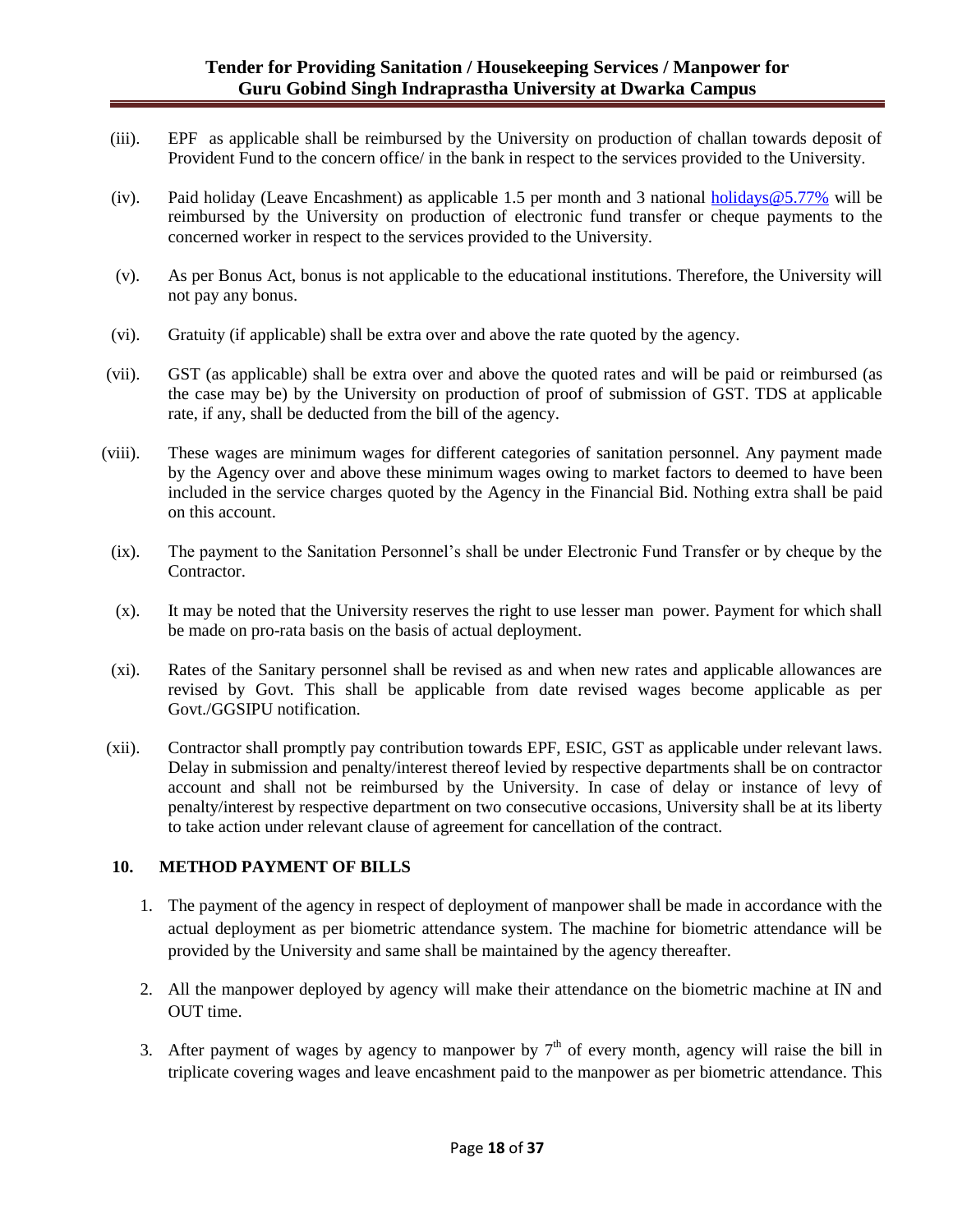### **Tender for Providing Sanitation / Housekeeping Services / Manpower for Guru Gobind Singh Indraprastha University at Dwarka Campus**

- (iii). EPF as applicable shall be reimbursed by the University on production of challan towards deposit of Provident Fund to the concern office/ in the bank in respect to the services provided to the University.
- (iv). Paid holiday (Leave Encashment) as applicable 1.5 per month and 3 national holidays  $@5.77\%$  will be reimbursed by the University on production of electronic fund transfer or cheque payments to the concerned worker in respect to the services provided to the University.
- (v). As per Bonus Act, bonus is not applicable to the educational institutions. Therefore, the University will not pay any bonus.
- (vi). Gratuity (if applicable) shall be extra over and above the rate quoted by the agency.
- (vii). GST (as applicable) shall be extra over and above the quoted rates and will be paid or reimbursed (as the case may be) by the University on production of proof of submission of GST. TDS at applicable rate, if any, shall be deducted from the bill of the agency.
- (viii). These wages are minimum wages for different categories of sanitation personnel. Any payment made by the Agency over and above these minimum wages owing to market factors to deemed to have been included in the service charges quoted by the Agency in the Financial Bid. Nothing extra shall be paid on this account.
- (ix). The payment to the Sanitation Personnel"s shall be under Electronic Fund Transfer or by cheque by the Contractor.
- (x). It may be noted that the University reserves the right to use lesser man power. Payment for which shall be made on pro-rata basis on the basis of actual deployment.
- (xi). Rates of the Sanitary personnel shall be revised as and when new rates and applicable allowances are revised by Govt. This shall be applicable from date revised wages become applicable as per Govt./GGSIPU notification.
- (xii). Contractor shall promptly pay contribution towards EPF, ESIC, GST as applicable under relevant laws. Delay in submission and penalty/interest thereof levied by respective departments shall be on contractor account and shall not be reimbursed by the University. In case of delay or instance of levy of penalty/interest by respective department on two consecutive occasions, University shall be at its liberty to take action under relevant clause of agreement for cancellation of the contract.

### **10. METHOD PAYMENT OF BILLS**

- 1. The payment of the agency in respect of deployment of manpower shall be made in accordance with the actual deployment as per biometric attendance system. The machine for biometric attendance will be provided by the University and same shall be maintained by the agency thereafter.
- 2. All the manpower deployed by agency will make their attendance on the biometric machine at IN and OUT time.
- 3. After payment of wages by agency to manpower by  $7<sup>th</sup>$  of every month, agency will raise the bill in triplicate covering wages and leave encashment paid to the manpower as per biometric attendance. This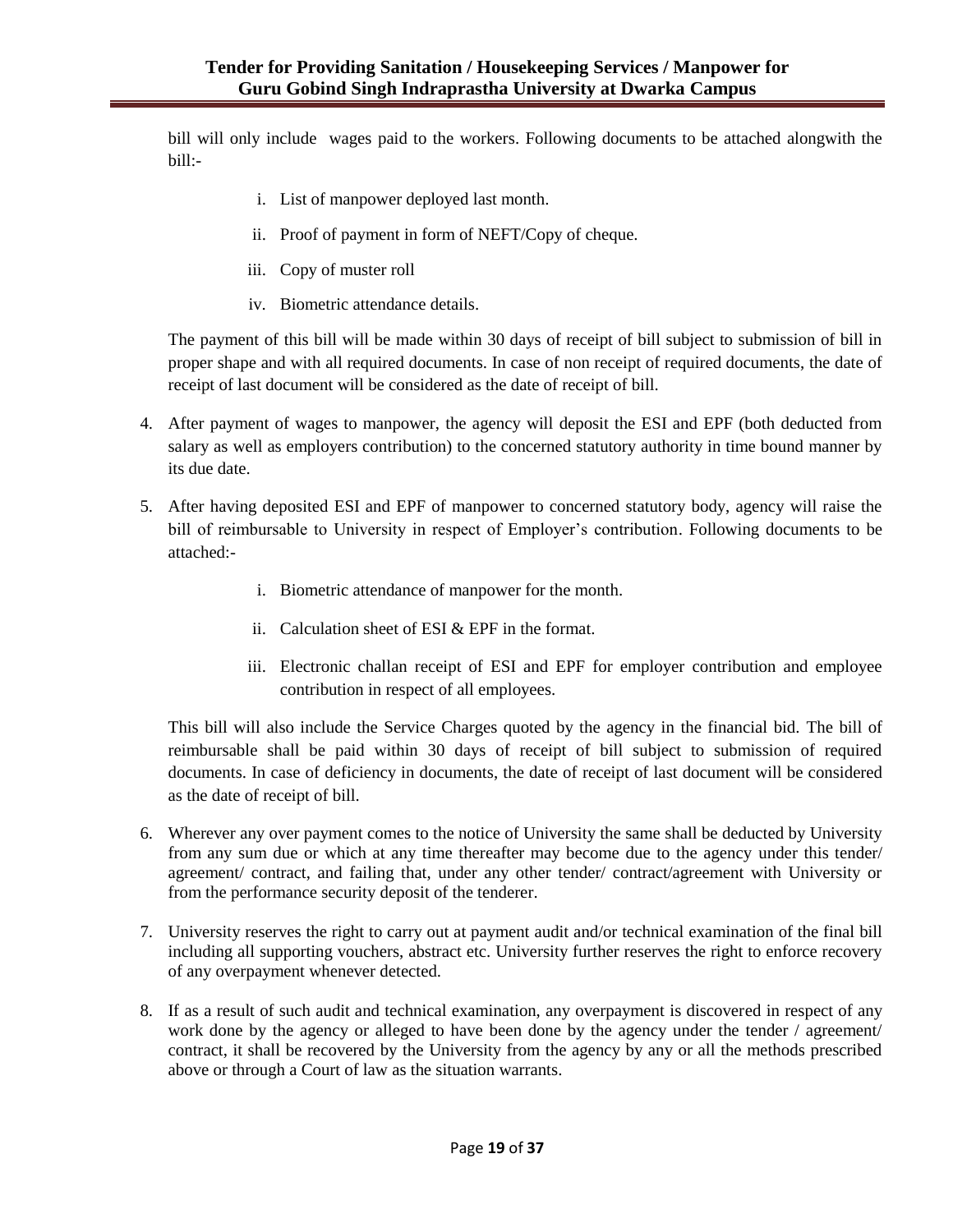bill will only include wages paid to the workers. Following documents to be attached alongwith the bill:-

- i. List of manpower deployed last month.
- ii. Proof of payment in form of NEFT/Copy of cheque.
- iii. Copy of muster roll
- iv. Biometric attendance details.

The payment of this bill will be made within 30 days of receipt of bill subject to submission of bill in proper shape and with all required documents. In case of non receipt of required documents, the date of receipt of last document will be considered as the date of receipt of bill.

- 4. After payment of wages to manpower, the agency will deposit the ESI and EPF (both deducted from salary as well as employers contribution) to the concerned statutory authority in time bound manner by its due date.
- 5. After having deposited ESI and EPF of manpower to concerned statutory body, agency will raise the bill of reimbursable to University in respect of Employer"s contribution. Following documents to be attached:
	- i. Biometric attendance of manpower for the month.
	- ii. Calculation sheet of ESI & EPF in the format.
	- iii. Electronic challan receipt of ESI and EPF for employer contribution and employee contribution in respect of all employees.

This bill will also include the Service Charges quoted by the agency in the financial bid. The bill of reimbursable shall be paid within 30 days of receipt of bill subject to submission of required documents. In case of deficiency in documents, the date of receipt of last document will be considered as the date of receipt of bill.

- 6. Wherever any over payment comes to the notice of University the same shall be deducted by University from any sum due or which at any time thereafter may become due to the agency under this tender/ agreement/ contract, and failing that, under any other tender/ contract/agreement with University or from the performance security deposit of the tenderer.
- 7. University reserves the right to carry out at payment audit and/or technical examination of the final bill including all supporting vouchers, abstract etc. University further reserves the right to enforce recovery of any overpayment whenever detected.
- 8. If as a result of such audit and technical examination, any overpayment is discovered in respect of any work done by the agency or alleged to have been done by the agency under the tender / agreement/ contract, it shall be recovered by the University from the agency by any or all the methods prescribed above or through a Court of law as the situation warrants.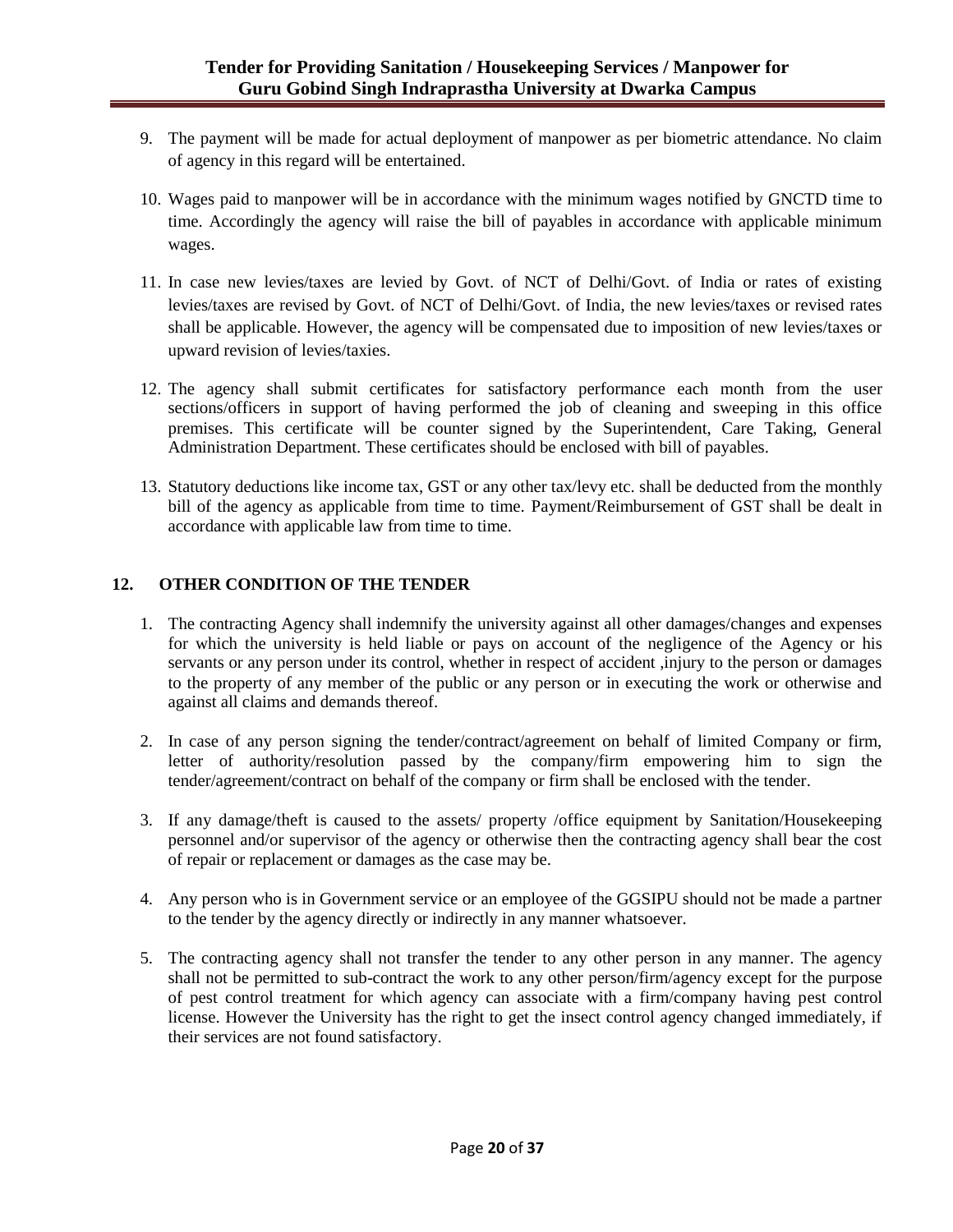- 9. The payment will be made for actual deployment of manpower as per biometric attendance. No claim of agency in this regard will be entertained.
- 10. Wages paid to manpower will be in accordance with the minimum wages notified by GNCTD time to time. Accordingly the agency will raise the bill of payables in accordance with applicable minimum wages.
- 11. In case new levies/taxes are levied by Govt. of NCT of Delhi/Govt. of India or rates of existing levies/taxes are revised by Govt. of NCT of Delhi/Govt. of India, the new levies/taxes or revised rates shall be applicable. However, the agency will be compensated due to imposition of new levies/taxes or upward revision of levies/taxies.
- 12. The agency shall submit certificates for satisfactory performance each month from the user sections/officers in support of having performed the job of cleaning and sweeping in this office premises. This certificate will be counter signed by the Superintendent, Care Taking, General Administration Department. These certificates should be enclosed with bill of payables.
- 13. Statutory deductions like income tax, GST or any other tax/levy etc. shall be deducted from the monthly bill of the agency as applicable from time to time. Payment/Reimbursement of GST shall be dealt in accordance with applicable law from time to time.

## **12. OTHER CONDITION OF THE TENDER**

- 1. The contracting Agency shall indemnify the university against all other damages/changes and expenses for which the university is held liable or pays on account of the negligence of the Agency or his servants or any person under its control, whether in respect of accident ,injury to the person or damages to the property of any member of the public or any person or in executing the work or otherwise and against all claims and demands thereof.
- 2. In case of any person signing the tender/contract/agreement on behalf of limited Company or firm, letter of authority/resolution passed by the company/firm empowering him to sign the tender/agreement/contract on behalf of the company or firm shall be enclosed with the tender.
- 3. If any damage/theft is caused to the assets/ property /office equipment by Sanitation/Housekeeping personnel and/or supervisor of the agency or otherwise then the contracting agency shall bear the cost of repair or replacement or damages as the case may be.
- 4. Any person who is in Government service or an employee of the GGSIPU should not be made a partner to the tender by the agency directly or indirectly in any manner whatsoever.
- 5. The contracting agency shall not transfer the tender to any other person in any manner. The agency shall not be permitted to sub-contract the work to any other person/firm/agency except for the purpose of pest control treatment for which agency can associate with a firm/company having pest control license. However the University has the right to get the insect control agency changed immediately, if their services are not found satisfactory.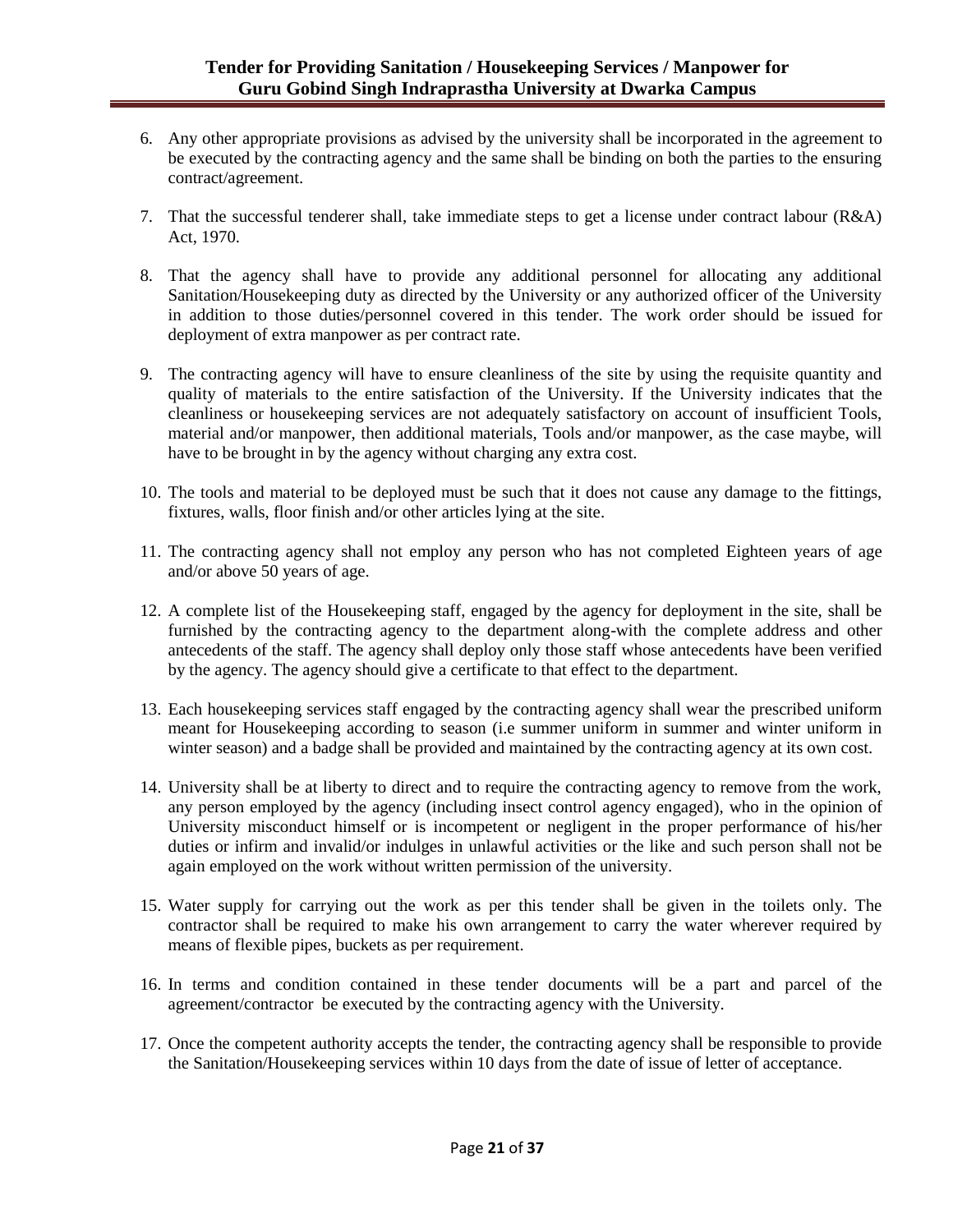- 6. Any other appropriate provisions as advised by the university shall be incorporated in the agreement to be executed by the contracting agency and the same shall be binding on both the parties to the ensuring contract/agreement.
- 7. That the successful tenderer shall, take immediate steps to get a license under contract labour (R&A) Act, 1970.
- 8. That the agency shall have to provide any additional personnel for allocating any additional Sanitation/Housekeeping duty as directed by the University or any authorized officer of the University in addition to those duties/personnel covered in this tender. The work order should be issued for deployment of extra manpower as per contract rate.
- 9. The contracting agency will have to ensure cleanliness of the site by using the requisite quantity and quality of materials to the entire satisfaction of the University. If the University indicates that the cleanliness or housekeeping services are not adequately satisfactory on account of insufficient Tools, material and/or manpower, then additional materials, Tools and/or manpower, as the case maybe, will have to be brought in by the agency without charging any extra cost.
- 10. The tools and material to be deployed must be such that it does not cause any damage to the fittings, fixtures, walls, floor finish and/or other articles lying at the site.
- 11. The contracting agency shall not employ any person who has not completed Eighteen years of age and/or above 50 years of age.
- 12. A complete list of the Housekeeping staff, engaged by the agency for deployment in the site, shall be furnished by the contracting agency to the department along-with the complete address and other antecedents of the staff. The agency shall deploy only those staff whose antecedents have been verified by the agency. The agency should give a certificate to that effect to the department.
- 13. Each housekeeping services staff engaged by the contracting agency shall wear the prescribed uniform meant for Housekeeping according to season (i.e summer uniform in summer and winter uniform in winter season) and a badge shall be provided and maintained by the contracting agency at its own cost.
- 14. University shall be at liberty to direct and to require the contracting agency to remove from the work, any person employed by the agency (including insect control agency engaged), who in the opinion of University misconduct himself or is incompetent or negligent in the proper performance of his/her duties or infirm and invalid/or indulges in unlawful activities or the like and such person shall not be again employed on the work without written permission of the university.
- 15. Water supply for carrying out the work as per this tender shall be given in the toilets only. The contractor shall be required to make his own arrangement to carry the water wherever required by means of flexible pipes, buckets as per requirement.
- 16. In terms and condition contained in these tender documents will be a part and parcel of the agreement/contractor be executed by the contracting agency with the University.
- 17. Once the competent authority accepts the tender, the contracting agency shall be responsible to provide the Sanitation/Housekeeping services within 10 days from the date of issue of letter of acceptance.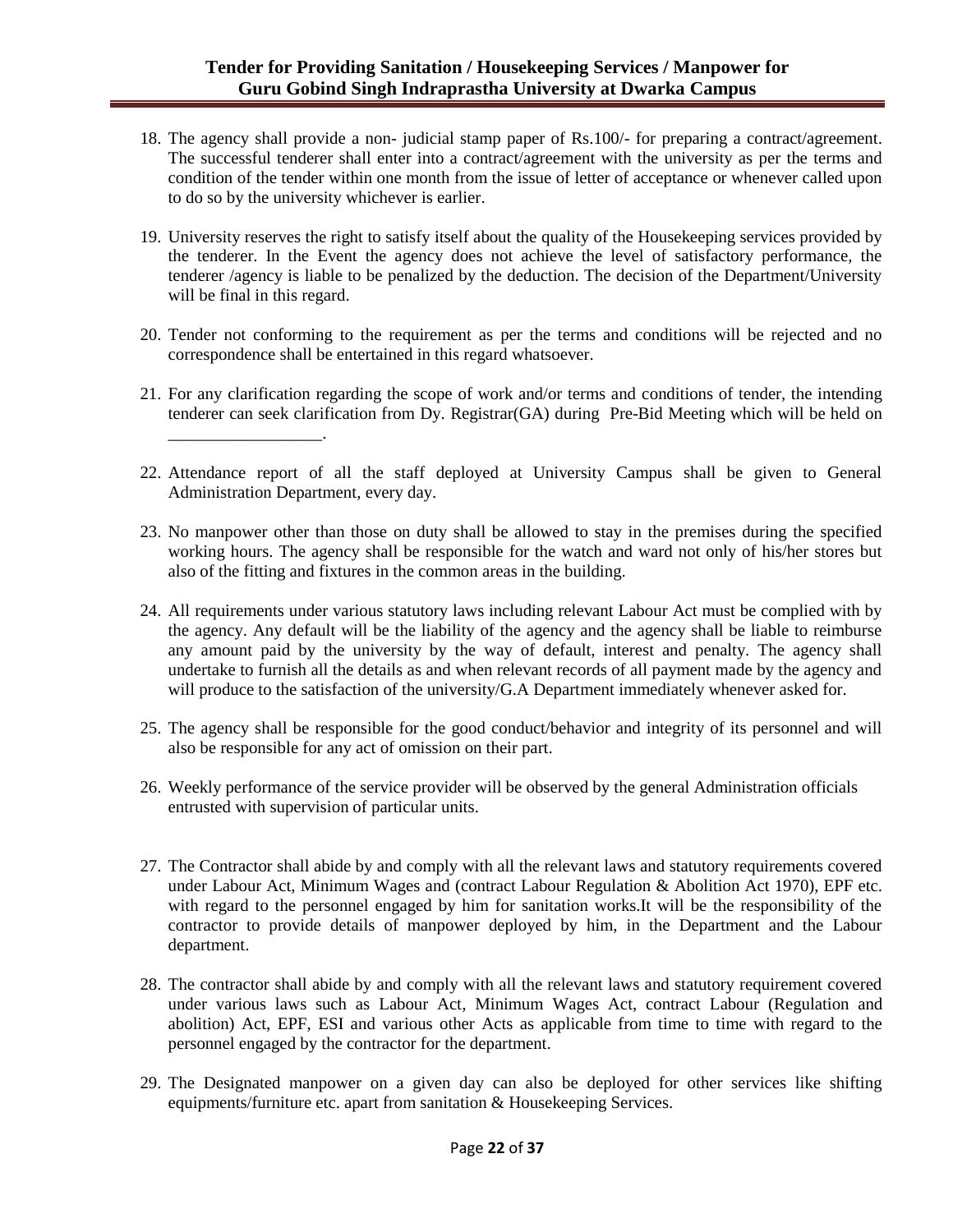- 18. The agency shall provide a non- judicial stamp paper of Rs.100/- for preparing a contract/agreement. The successful tenderer shall enter into a contract/agreement with the university as per the terms and condition of the tender within one month from the issue of letter of acceptance or whenever called upon to do so by the university whichever is earlier.
- 19. University reserves the right to satisfy itself about the quality of the Housekeeping services provided by the tenderer. In the Event the agency does not achieve the level of satisfactory performance, the tenderer /agency is liable to be penalized by the deduction. The decision of the Department/University will be final in this regard.
- 20. Tender not conforming to the requirement as per the terms and conditions will be rejected and no correspondence shall be entertained in this regard whatsoever.
- 21. For any clarification regarding the scope of work and/or terms and conditions of tender, the intending tenderer can seek clarification from Dy. Registrar(GA) during Pre-Bid Meeting which will be held on \_\_\_\_\_\_\_\_\_\_\_\_\_\_\_\_\_\_.
- 22. Attendance report of all the staff deployed at University Campus shall be given to General Administration Department, every day.
- 23. No manpower other than those on duty shall be allowed to stay in the premises during the specified working hours. The agency shall be responsible for the watch and ward not only of his/her stores but also of the fitting and fixtures in the common areas in the building.
- 24. All requirements under various statutory laws including relevant Labour Act must be complied with by the agency. Any default will be the liability of the agency and the agency shall be liable to reimburse any amount paid by the university by the way of default, interest and penalty. The agency shall undertake to furnish all the details as and when relevant records of all payment made by the agency and will produce to the satisfaction of the university/G.A Department immediately whenever asked for.
- 25. The agency shall be responsible for the good conduct/behavior and integrity of its personnel and will also be responsible for any act of omission on their part.
- 26. Weekly performance of the service provider will be observed by the general Administration officials entrusted with supervision of particular units.
- 27. The Contractor shall abide by and comply with all the relevant laws and statutory requirements covered under Labour Act, Minimum Wages and (contract Labour Regulation & Abolition Act 1970), EPF etc. with regard to the personnel engaged by him for sanitation works.It will be the responsibility of the contractor to provide details of manpower deployed by him, in the Department and the Labour department.
- 28. The contractor shall abide by and comply with all the relevant laws and statutory requirement covered under various laws such as Labour Act, Minimum Wages Act, contract Labour (Regulation and abolition) Act, EPF, ESI and various other Acts as applicable from time to time with regard to the personnel engaged by the contractor for the department.
- 29. The Designated manpower on a given day can also be deployed for other services like shifting equipments/furniture etc. apart from sanitation & Housekeeping Services.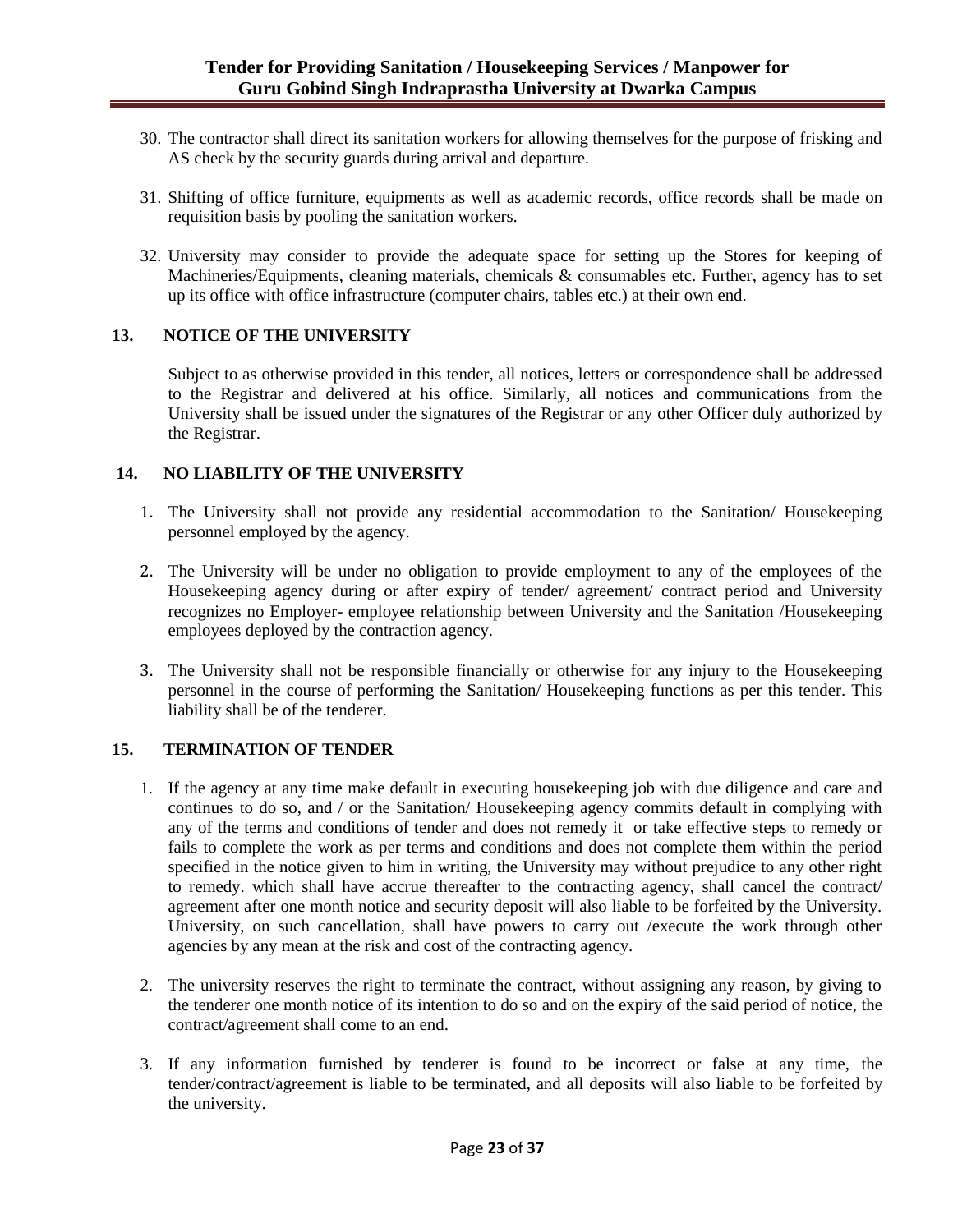- 30. The contractor shall direct its sanitation workers for allowing themselves for the purpose of frisking and AS check by the security guards during arrival and departure.
- 31. Shifting of office furniture, equipments as well as academic records, office records shall be made on requisition basis by pooling the sanitation workers.
- 32. University may consider to provide the adequate space for setting up the Stores for keeping of Machineries/Equipments, cleaning materials, chemicals & consumables etc. Further, agency has to set up its office with office infrastructure (computer chairs, tables etc.) at their own end.

### **13. NOTICE OF THE UNIVERSITY**

Subject to as otherwise provided in this tender, all notices, letters or correspondence shall be addressed to the Registrar and delivered at his office. Similarly, all notices and communications from the University shall be issued under the signatures of the Registrar or any other Officer duly authorized by the Registrar.

### **14. NO LIABILITY OF THE UNIVERSITY**

- 1. The University shall not provide any residential accommodation to the Sanitation/ Housekeeping personnel employed by the agency.
- 2. The University will be under no obligation to provide employment to any of the employees of the Housekeeping agency during or after expiry of tender/ agreement/ contract period and University recognizes no Employer- employee relationship between University and the Sanitation /Housekeeping employees deployed by the contraction agency.
- 3. The University shall not be responsible financially or otherwise for any injury to the Housekeeping personnel in the course of performing the Sanitation/ Housekeeping functions as per this tender. This liability shall be of the tenderer.

### **15. TERMINATION OF TENDER**

- 1. If the agency at any time make default in executing housekeeping job with due diligence and care and continues to do so, and / or the Sanitation/ Housekeeping agency commits default in complying with any of the terms and conditions of tender and does not remedy it or take effective steps to remedy or fails to complete the work as per terms and conditions and does not complete them within the period specified in the notice given to him in writing, the University may without prejudice to any other right to remedy. which shall have accrue thereafter to the contracting agency, shall cancel the contract/ agreement after one month notice and security deposit will also liable to be forfeited by the University. University, on such cancellation, shall have powers to carry out /execute the work through other agencies by any mean at the risk and cost of the contracting agency.
- 2. The university reserves the right to terminate the contract, without assigning any reason, by giving to the tenderer one month notice of its intention to do so and on the expiry of the said period of notice, the contract/agreement shall come to an end.
- 3. If any information furnished by tenderer is found to be incorrect or false at any time, the tender/contract/agreement is liable to be terminated, and all deposits will also liable to be forfeited by the university.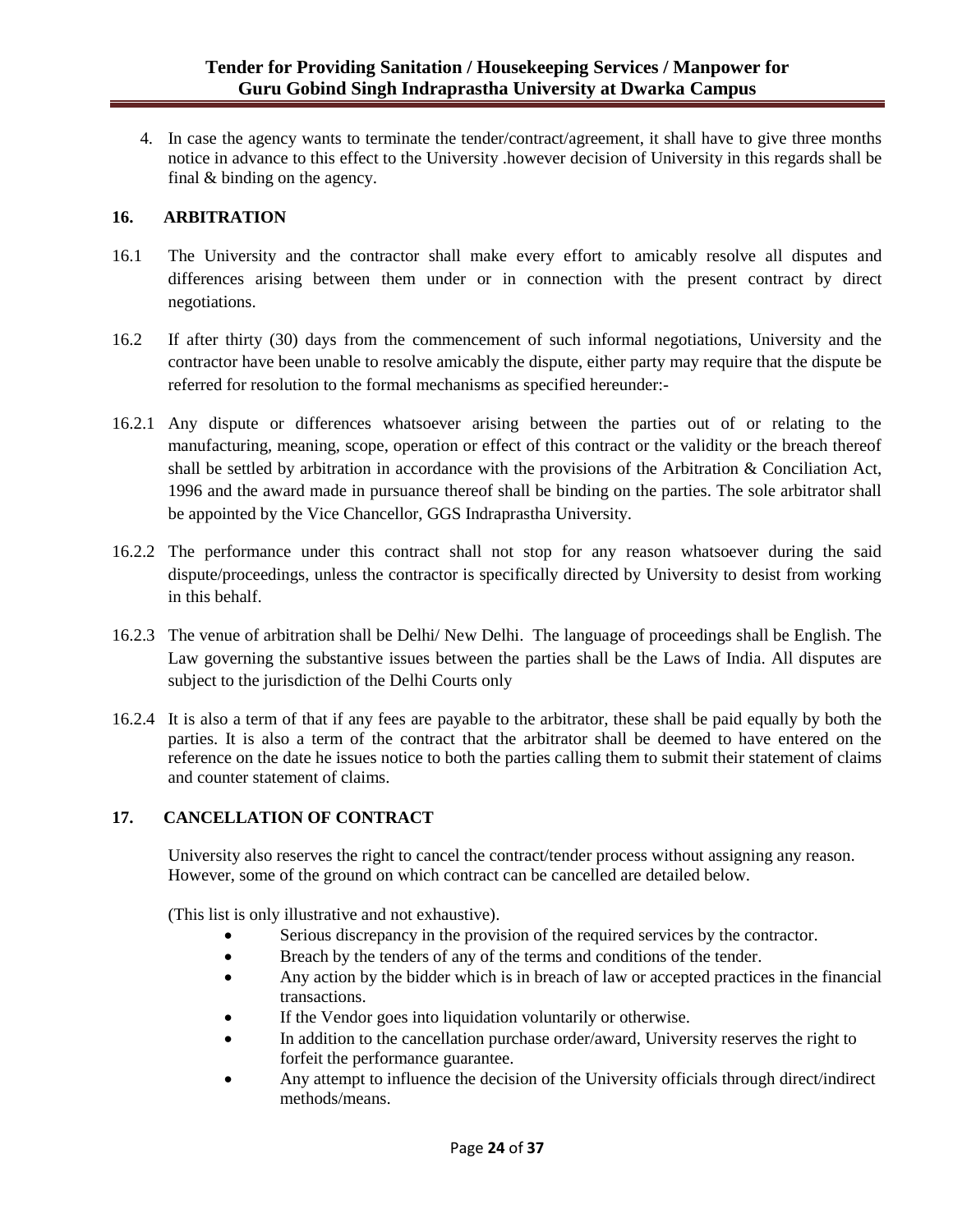4. In case the agency wants to terminate the tender/contract/agreement, it shall have to give three months notice in advance to this effect to the University .however decision of University in this regards shall be final & binding on the agency.

### **16. ARBITRATION**

- 16.1 The University and the contractor shall make every effort to amicably resolve all disputes and differences arising between them under or in connection with the present contract by direct negotiations.
- 16.2 If after thirty (30) days from the commencement of such informal negotiations, University and the contractor have been unable to resolve amicably the dispute, either party may require that the dispute be referred for resolution to the formal mechanisms as specified hereunder:-
- 16.2.1 Any dispute or differences whatsoever arising between the parties out of or relating to the manufacturing, meaning, scope, operation or effect of this contract or the validity or the breach thereof shall be settled by arbitration in accordance with the provisions of the Arbitration & Conciliation Act, 1996 and the award made in pursuance thereof shall be binding on the parties. The sole arbitrator shall be appointed by the Vice Chancellor, GGS Indraprastha University.
- 16.2.2 The performance under this contract shall not stop for any reason whatsoever during the said dispute/proceedings, unless the contractor is specifically directed by University to desist from working in this behalf.
- 16.2.3 The venue of arbitration shall be Delhi/ New Delhi. The language of proceedings shall be English. The Law governing the substantive issues between the parties shall be the Laws of India. All disputes are subject to the jurisdiction of the Delhi Courts only
- 16.2.4 It is also a term of that if any fees are payable to the arbitrator, these shall be paid equally by both the parties. It is also a term of the contract that the arbitrator shall be deemed to have entered on the reference on the date he issues notice to both the parties calling them to submit their statement of claims and counter statement of claims.

### **17. CANCELLATION OF CONTRACT**

University also reserves the right to cancel the contract/tender process without assigning any reason. However, some of the ground on which contract can be cancelled are detailed below.

(This list is only illustrative and not exhaustive).

- Serious discrepancy in the provision of the required services by the contractor.
- Breach by the tenders of any of the terms and conditions of the tender.
- Any action by the bidder which is in breach of law or accepted practices in the financial transactions.
- If the Vendor goes into liquidation voluntarily or otherwise.
- In addition to the cancellation purchase order/award, University reserves the right to forfeit the performance guarantee.
- Any attempt to influence the decision of the University officials through direct/indirect methods/means.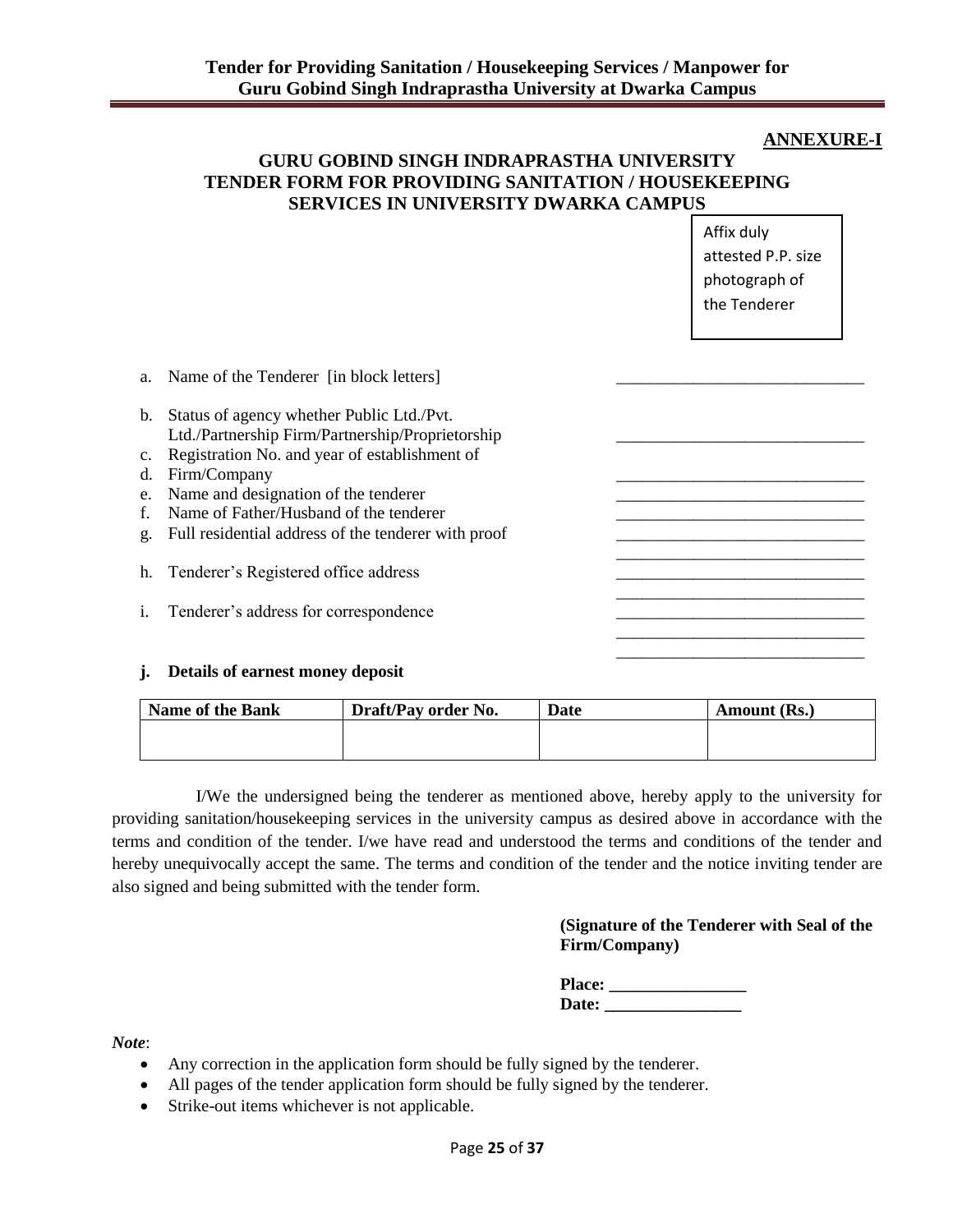### **ANNEXURE-I**

## **GURU GOBIND SINGH INDRAPRASTHA UNIVERSITY TENDER FORM FOR PROVIDING SANITATION / HOUSEKEEPING SERVICES IN UNIVERSITY DWARKA CAMPUS**

Affix duly attested P.P. size photograph of the Tenderer

|    | a. Name of the Tenderer [in block letters]                                                    |  |
|----|-----------------------------------------------------------------------------------------------|--|
| b. | Status of agency whether Public Ltd./Pvt.<br>Ltd./Partnership Firm/Partnership/Proprietorship |  |
|    | c. Registration No. and year of establishment of                                              |  |
| d. | Firm/Company                                                                                  |  |
| e. | Name and designation of the tenderer                                                          |  |
| f. | Name of Father/Husband of the tenderer                                                        |  |
| g. | Full residential address of the tenderer with proof                                           |  |
|    | h. Tenderer's Registered office address                                                       |  |
|    |                                                                                               |  |
| i. | Tenderer's address for correspondence                                                         |  |
|    |                                                                                               |  |
|    |                                                                                               |  |

### **j. Details of earnest money deposit**

| <b>Name of the Bank</b> | Draft/Pay order No. | Date | Amount (Rs.) |
|-------------------------|---------------------|------|--------------|
|                         |                     |      |              |
|                         |                     |      |              |

I/We the undersigned being the tenderer as mentioned above, hereby apply to the university for providing sanitation/housekeeping services in the university campus as desired above in accordance with the terms and condition of the tender. I/we have read and understood the terms and conditions of the tender and hereby unequivocally accept the same. The terms and condition of the tender and the notice inviting tender are also signed and being submitted with the tender form.

### **(Signature of the Tenderer with Seal of the Firm/Company)**

| <b>Place:</b> |  |
|---------------|--|
| Date:         |  |

*Note*:

- Any correction in the application form should be fully signed by the tenderer.
- All pages of the tender application form should be fully signed by the tenderer.
- Strike-out items whichever is not applicable.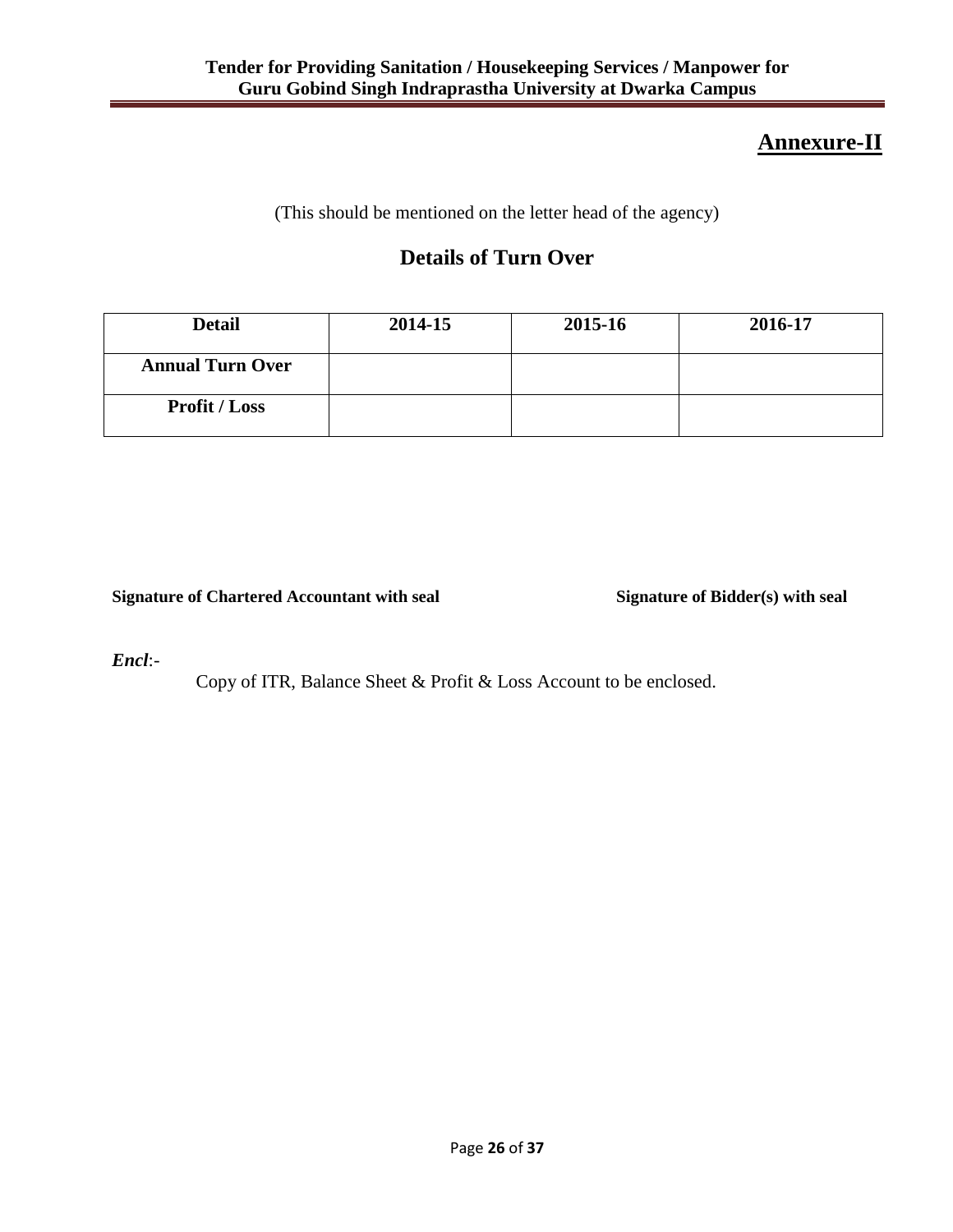# **Annexure-II**

(This should be mentioned on the letter head of the agency)

# **Details of Turn Over**

| <b>Detail</b>           | 2014-15 | 2015-16 | 2016-17 |
|-------------------------|---------|---------|---------|
| <b>Annual Turn Over</b> |         |         |         |
| <b>Profit / Loss</b>    |         |         |         |

**Signature of Chartered Accountant with seal Signature of Bidder(s) with seal**

*Encl*:-

Copy of ITR, Balance Sheet & Profit & Loss Account to be enclosed.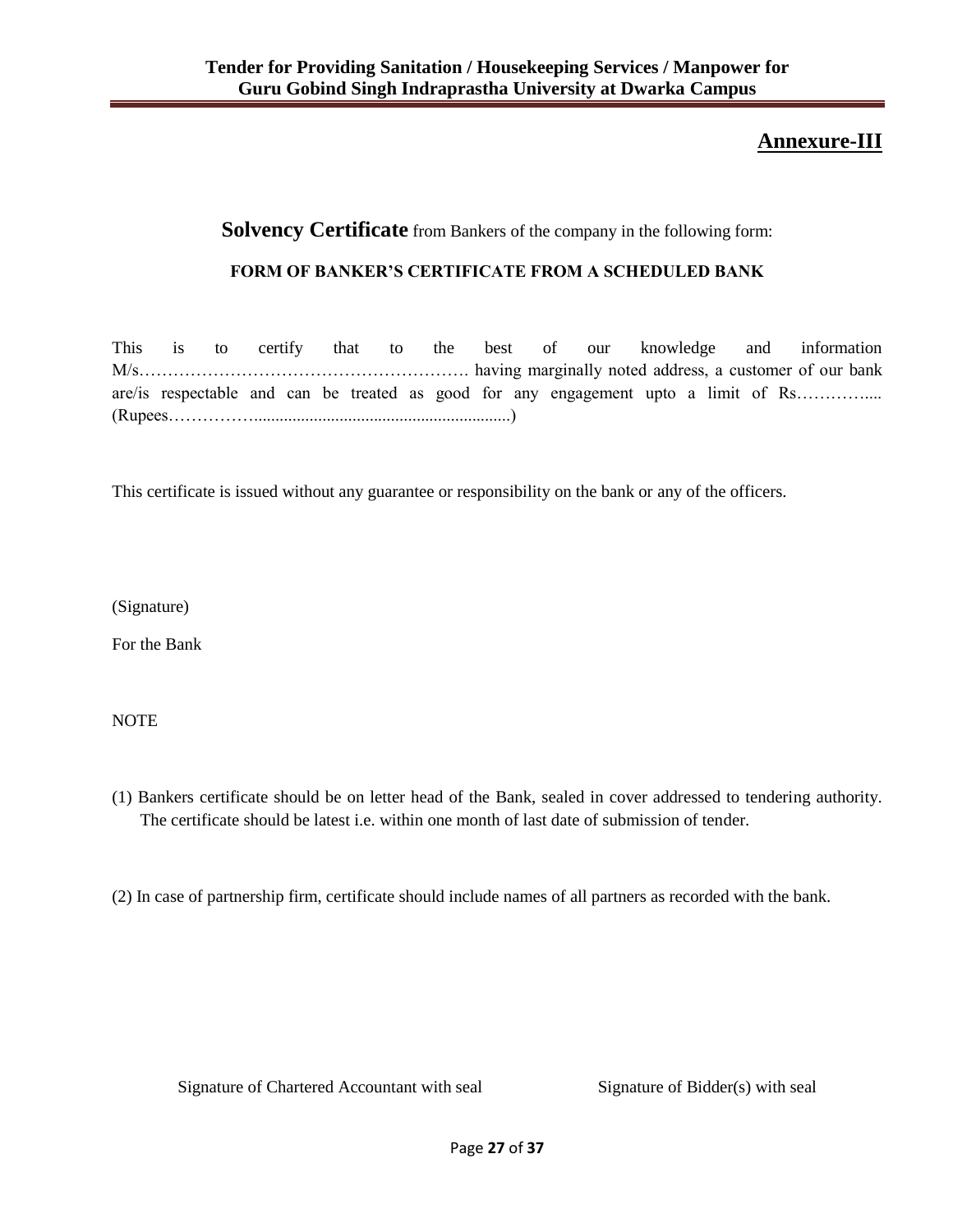# **Annexure-III**

## **Solvency Certificate** from Bankers of the company in the following form:

### **FORM OF BANKER'S CERTIFICATE FROM A SCHEDULED BANK**

|  |  |  |  |  |  |  |  | This is to certify that to the best of our knowledge and information                |
|--|--|--|--|--|--|--|--|-------------------------------------------------------------------------------------|
|  |  |  |  |  |  |  |  |                                                                                     |
|  |  |  |  |  |  |  |  | are/is respectable and can be treated as good for any engagement upto a limit of Rs |
|  |  |  |  |  |  |  |  |                                                                                     |

This certificate is issued without any guarantee or responsibility on the bank or any of the officers.

(Signature)

For the Bank

NOTE

(1) Bankers certificate should be on letter head of the Bank, sealed in cover addressed to tendering authority. The certificate should be latest i.e. within one month of last date of submission of tender.

(2) In case of partnership firm, certificate should include names of all partners as recorded with the bank.

Signature of Chartered Accountant with seal Signature of Bidder(s) with seal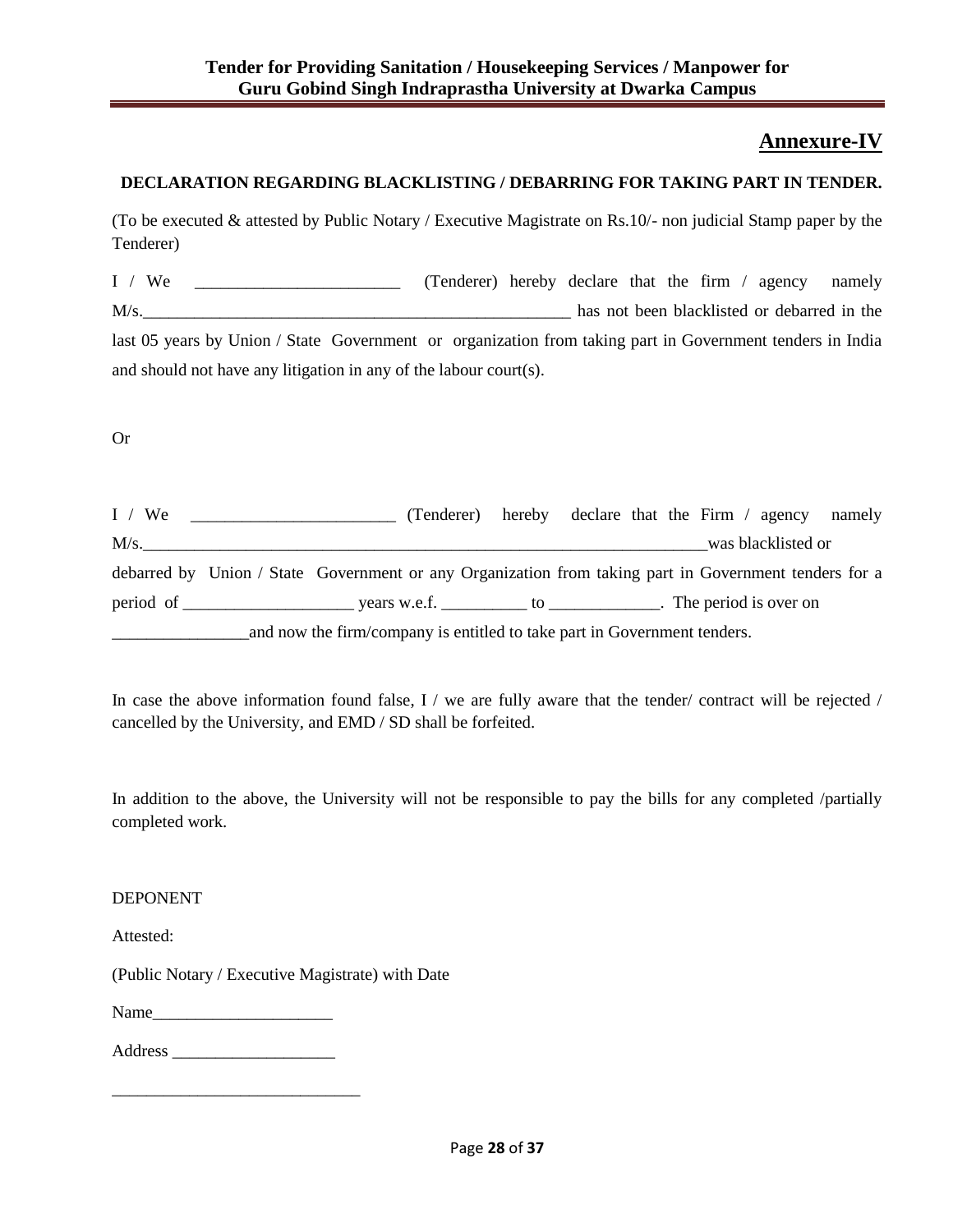## **Annexure-IV**

### **DECLARATION REGARDING BLACKLISTING / DEBARRING FOR TAKING PART IN TENDER.**

(To be executed & attested by Public Notary / Executive Magistrate on Rs.10/- non judicial Stamp paper by the Tenderer)

I / We \_\_\_\_\_\_\_\_\_\_\_\_\_\_\_\_\_\_\_\_\_\_\_\_ (Tenderer) hereby declare that the firm / agency namely M/s. last 05 years by Union / State Government or organization from taking part in Government tenders in India and should not have any litigation in any of the labour court(s).

Or

| I / We |                                                                                                       |  |  |  |                    | (Tenderer) hereby declare that the Firm / agency namely |
|--------|-------------------------------------------------------------------------------------------------------|--|--|--|--------------------|---------------------------------------------------------|
| M/s.   |                                                                                                       |  |  |  | was blacklisted or |                                                         |
|        | debarred by Union / State Government or any Organization from taking part in Government tenders for a |  |  |  |                    |                                                         |
|        |                                                                                                       |  |  |  |                    |                                                         |
|        | and now the firm/company is entitled to take part in Government tenders.                              |  |  |  |                    |                                                         |

In case the above information found false, I / we are fully aware that the tender/ contract will be rejected / cancelled by the University, and EMD / SD shall be forfeited.

In addition to the above, the University will not be responsible to pay the bills for any completed /partially completed work.

DEPONENT

Attested:

(Public Notary / Executive Magistrate) with Date

Name

Address \_\_\_\_\_\_\_\_\_\_\_\_\_\_\_\_\_\_\_

\_\_\_\_\_\_\_\_\_\_\_\_\_\_\_\_\_\_\_\_\_\_\_\_\_\_\_\_\_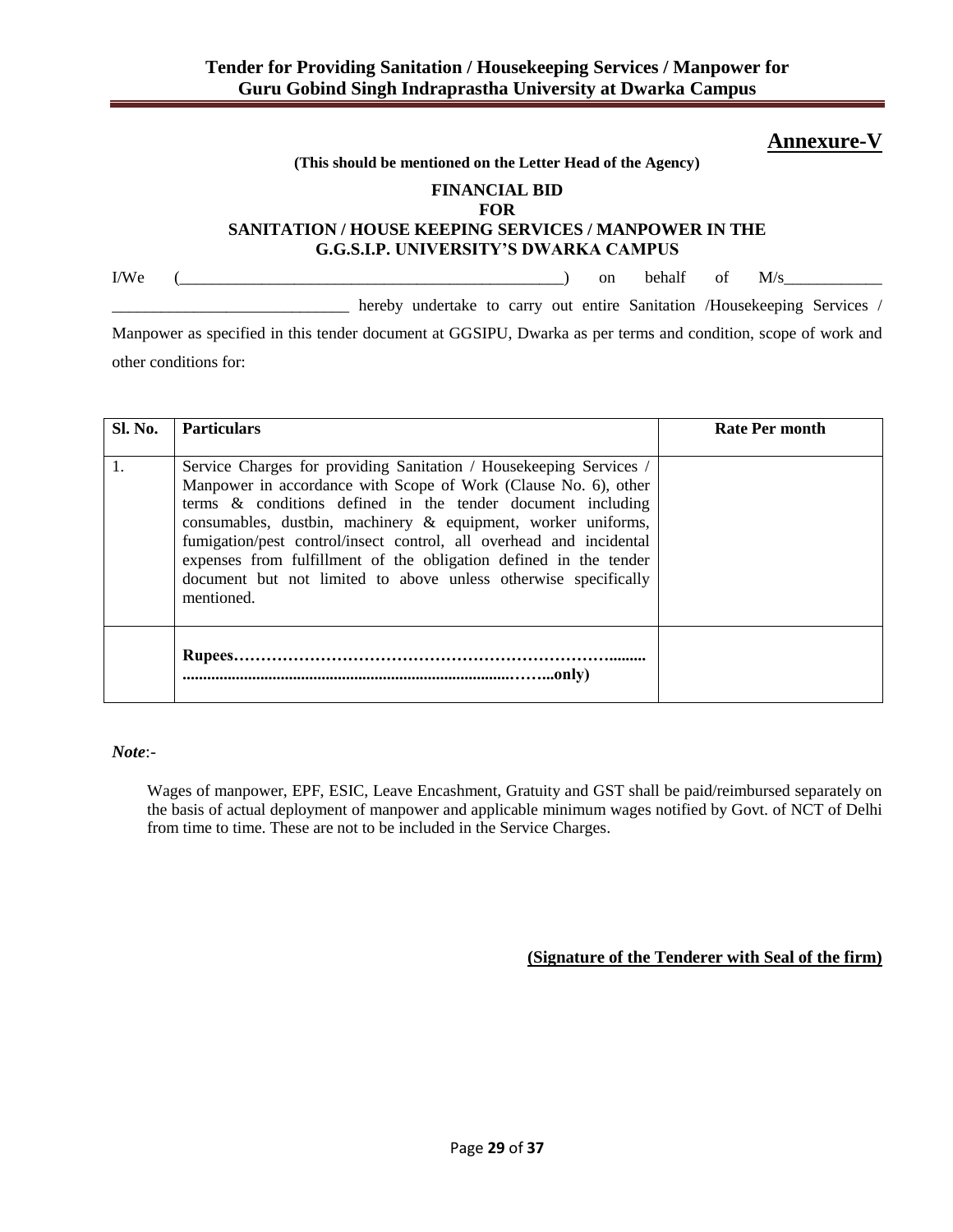## **Annexure-V**

#### **(This should be mentioned on the Letter Head of the Agency)**

## **FINANCIAL BID**

#### **FOR SANITATION / HOUSE KEEPING SERVICES / MANPOWER IN THE G.G.S.I.P. UNIVERSITY'S DWARKA CAMPUS**

 $\text{I/We}$  (  $\text{I/We}$  ) on behalf of  $\text{M/s}$ 

\_\_\_\_\_\_\_\_\_\_\_\_\_\_\_\_\_\_\_\_\_\_\_\_\_\_\_\_\_ hereby undertake to carry out entire Sanitation /Housekeeping Services /

Manpower as specified in this tender document at GGSIPU, Dwarka as per terms and condition, scope of work and other conditions for:

| <b>Sl. No.</b> | <b>Particulars</b>                                                                                                                                                                                                                                                                                                                                                                                                                                                                                    | Rate Per month |
|----------------|-------------------------------------------------------------------------------------------------------------------------------------------------------------------------------------------------------------------------------------------------------------------------------------------------------------------------------------------------------------------------------------------------------------------------------------------------------------------------------------------------------|----------------|
|                | Service Charges for providing Sanitation / Housekeeping Services /<br>Manpower in accordance with Scope of Work (Clause No. 6), other<br>terms $\&$ conditions defined in the tender document including<br>consumables, dustbin, machinery & equipment, worker uniforms,<br>fumigation/pest control/insect control, all overhead and incidental<br>expenses from fulfillment of the obligation defined in the tender<br>document but not limited to above unless otherwise specifically<br>mentioned. |                |
|                |                                                                                                                                                                                                                                                                                                                                                                                                                                                                                                       |                |

*Note*:-

Wages of manpower, EPF, ESIC, Leave Encashment, Gratuity and GST shall be paid/reimbursed separately on the basis of actual deployment of manpower and applicable minimum wages notified by Govt. of NCT of Delhi from time to time. These are not to be included in the Service Charges.

### **(Signature of the Tenderer with Seal of the firm)**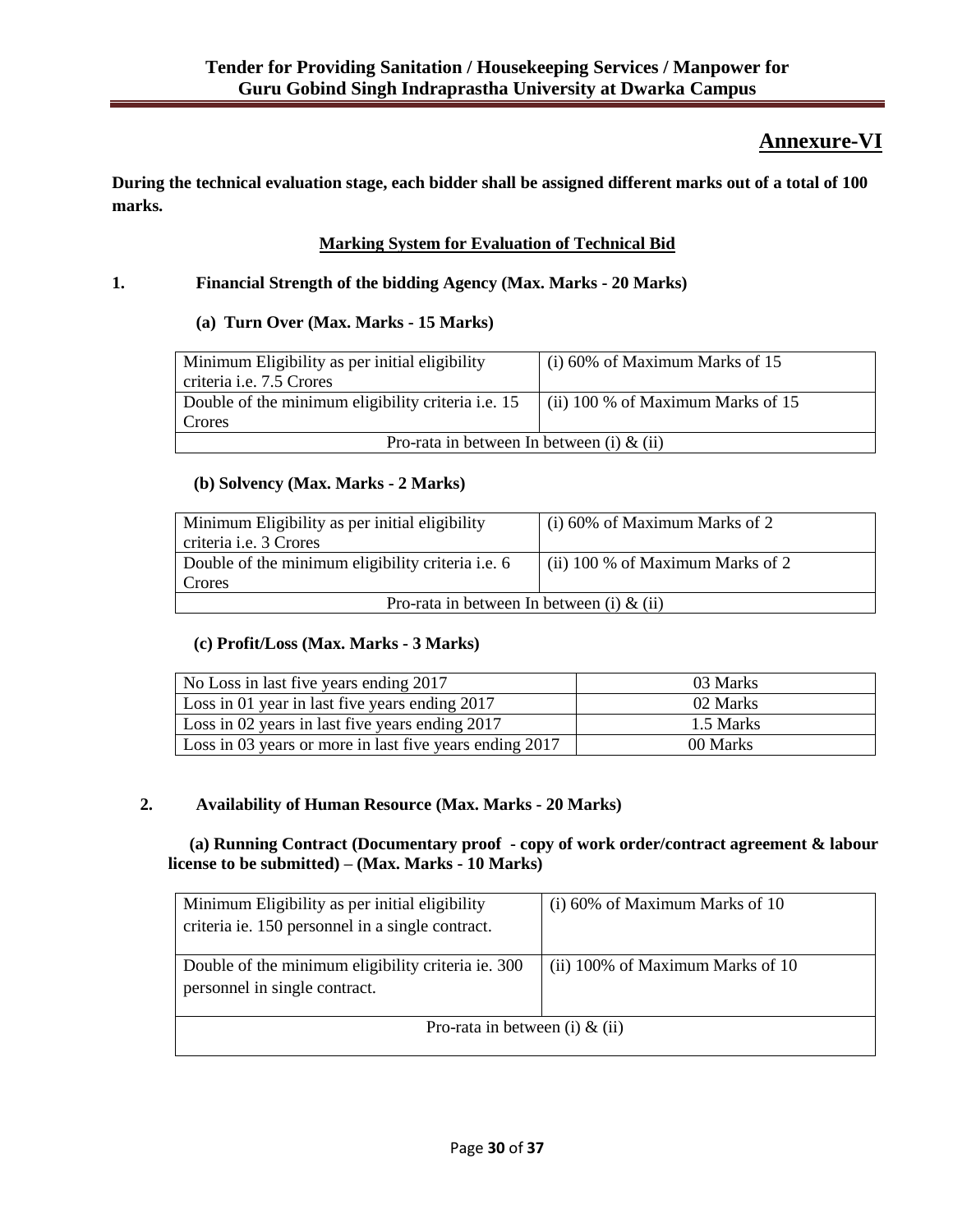# **Annexure-VI**

**During the technical evaluation stage, each bidder shall be assigned different marks out of a total of 100 marks.**

## **Marking System for Evaluation of Technical Bid**

### **1. Financial Strength of the bidding Agency (Max. Marks - 20 Marks)**

### **(a) Turn Over (Max. Marks - 15 Marks)**

| Minimum Eligibility as per initial eligibility<br>criteria i.e. 7.5 Crores | $(i)$ 60% of Maximum Marks of 15    |  |  |  |  |
|----------------------------------------------------------------------------|-------------------------------------|--|--|--|--|
| Double of the minimum eligibility criteria <i>i.e.</i> 15                  | (ii) $100\%$ of Maximum Marks of 15 |  |  |  |  |
| Crores                                                                     |                                     |  |  |  |  |
| Pro-rata in between In between (i) $\&$ (ii)                               |                                     |  |  |  |  |

### **(b) Solvency (Max. Marks - 2 Marks)**

| Minimum Eligibility as per initial eligibility    | (i) 60% of Maximum Marks of 2    |  |  |  |  |
|---------------------------------------------------|----------------------------------|--|--|--|--|
| criteria <i>i.e.</i> 3 Crores                     |                                  |  |  |  |  |
| Double of the minimum eligibility criteria i.e. 6 | (ii) 100 % of Maximum Marks of 2 |  |  |  |  |
| Crores                                            |                                  |  |  |  |  |
| Pro-rata in between In between (i) $\&$ (ii)      |                                  |  |  |  |  |

### **(c) Profit/Loss (Max. Marks - 3 Marks)**

| No Loss in last five years ending 2017                  | 03 Marks  |
|---------------------------------------------------------|-----------|
| Loss in 01 year in last five years ending 2017          | 02 Marks  |
| Loss in 02 years in last five years ending 2017         | 1.5 Marks |
| Loss in 03 years or more in last five years ending 2017 | 00 Marks  |

### **2. Availability of Human Resource (Max. Marks - 20 Marks)**

 **(a) Running Contract (Documentary proof - copy of work order/contract agreement & labour license to be submitted) – (Max. Marks - 10 Marks)**

| Minimum Eligibility as per initial eligibility     | $(i)$ 60% of Maximum Marks of 10 |  |  |  |  |
|----------------------------------------------------|----------------------------------|--|--|--|--|
| criteria ie. 150 personnel in a single contract.   |                                  |  |  |  |  |
|                                                    |                                  |  |  |  |  |
| Double of the minimum eligibility criteria ie. 300 | (ii) 100% of Maximum Marks of 10 |  |  |  |  |
| personnel in single contract.                      |                                  |  |  |  |  |
|                                                    |                                  |  |  |  |  |
| Pro-rata in between (i) $\&$ (ii)                  |                                  |  |  |  |  |
|                                                    |                                  |  |  |  |  |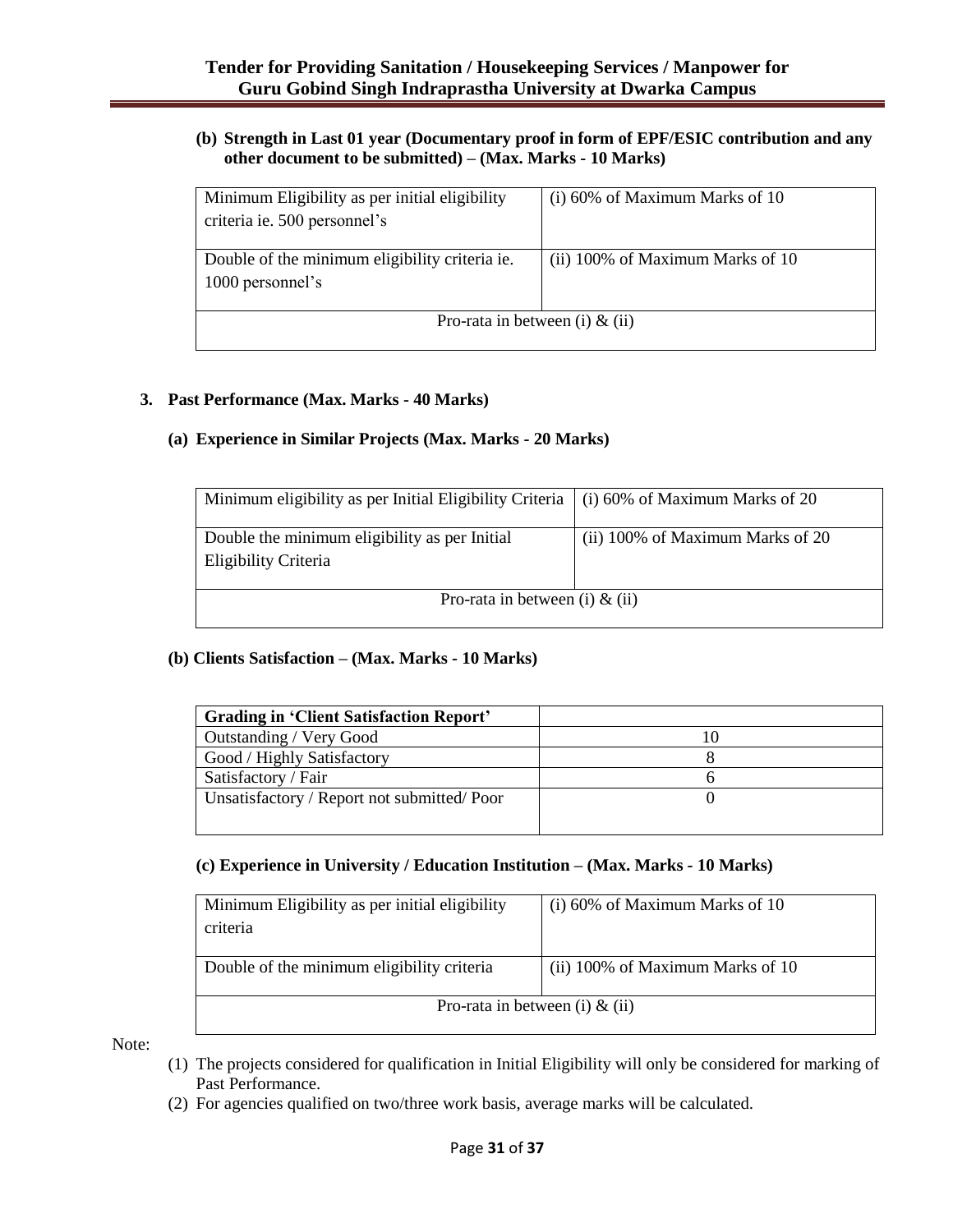### **(b) Strength in Last 01 year (Documentary proof in form of EPF/ESIC contribution and any other document to be submitted) – (Max. Marks - 10 Marks)**

| Minimum Eligibility as per initial eligibility | $(i)$ 60% of Maximum Marks of 10 |  |  |  |  |  |
|------------------------------------------------|----------------------------------|--|--|--|--|--|
|                                                |                                  |  |  |  |  |  |
| criteria ie. 500 personnel's                   |                                  |  |  |  |  |  |
|                                                |                                  |  |  |  |  |  |
|                                                |                                  |  |  |  |  |  |
| Double of the minimum eligibility criteria ie. | (ii) 100% of Maximum Marks of 10 |  |  |  |  |  |
|                                                |                                  |  |  |  |  |  |
| 1000 personnel's                               |                                  |  |  |  |  |  |
|                                                |                                  |  |  |  |  |  |
|                                                |                                  |  |  |  |  |  |
| Pro-rata in between (i) $\&$ (ii)              |                                  |  |  |  |  |  |
|                                                |                                  |  |  |  |  |  |
|                                                |                                  |  |  |  |  |  |

### **3. Past Performance (Max. Marks - 40 Marks)**

### **(a) Experience in Similar Projects (Max. Marks - 20 Marks)**

| Minimum eligibility as per Initial Eligibility Criteria $\mid$ (i) 60% of Maximum Marks of 20 |                                  |
|-----------------------------------------------------------------------------------------------|----------------------------------|
| Double the minimum eligibility as per Initial<br>Eligibility Criteria                         | (ii) 100% of Maximum Marks of 20 |
| Pro-rata in between (i) $\&$ (ii)                                                             |                                  |

### **(b) Clients Satisfaction – (Max. Marks - 10 Marks)**

| <b>Grading in 'Client Satisfaction Report'</b> |  |
|------------------------------------------------|--|
| Outstanding / Very Good                        |  |
| Good / Highly Satisfactory                     |  |
| Satisfactory / Fair                            |  |
| Unsatisfactory / Report not submitted/Poor     |  |
|                                                |  |

### **(c) Experience in University / Education Institution – (Max. Marks - 10 Marks)**

| Minimum Eligibility as per initial eligibility<br>criteria | $(i)$ 60% of Maximum Marks of 10 |  |  |  |  |
|------------------------------------------------------------|----------------------------------|--|--|--|--|
| Double of the minimum eligibility criteria                 | (ii) 100% of Maximum Marks of 10 |  |  |  |  |
| Pro-rata in between (i) $\&$ (ii)                          |                                  |  |  |  |  |

Note:

- (1) The projects considered for qualification in Initial Eligibility will only be considered for marking of Past Performance.
- (2) For agencies qualified on two/three work basis, average marks will be calculated.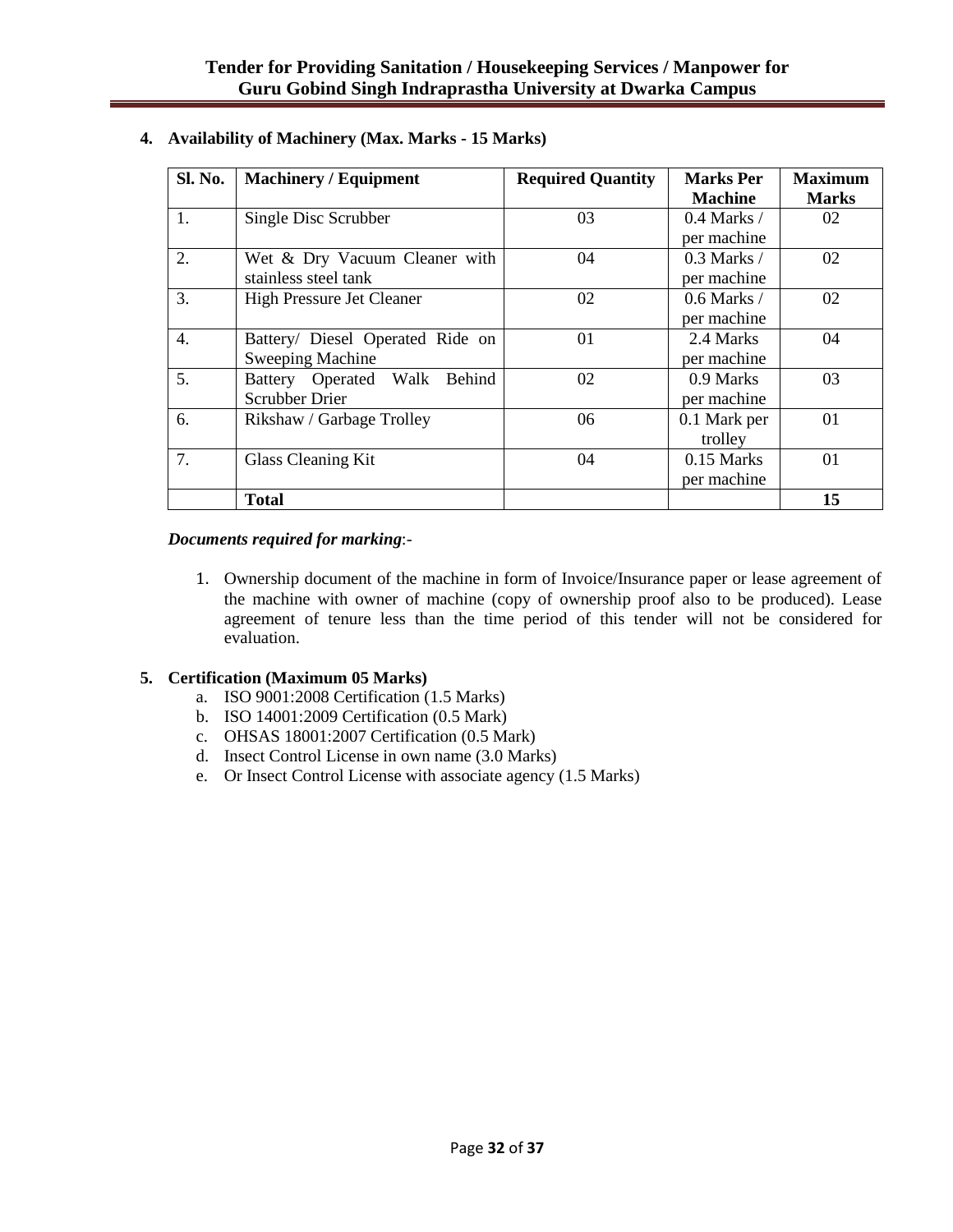| <b>Sl. No.</b> | <b>Machinery / Equipment</b>     | <b>Required Quantity</b> | <b>Marks</b> Per | <b>Maximum</b> |
|----------------|----------------------------------|--------------------------|------------------|----------------|
|                |                                  |                          | <b>Machine</b>   | <b>Marks</b>   |
| 1.             | Single Disc Scrubber             | 03                       | $0.4$ Marks /    | 02             |
|                |                                  |                          | per machine      |                |
| 2.             | Wet & Dry Vacuum Cleaner with    | 04                       | $0.3$ Marks $/$  | 02             |
|                | stainless steel tank             |                          | per machine      |                |
| 3.             | <b>High Pressure Jet Cleaner</b> | 02                       | $0.6$ Marks /    | 02             |
|                |                                  |                          | per machine      |                |
| 4.             | Battery/ Diesel Operated Ride on | 01                       | 2.4 Marks        | 04             |
|                | Sweeping Machine                 |                          | per machine      |                |
| 5.             | Battery Operated Walk Behind     | 02                       | 0.9 Marks        | 03             |
|                | <b>Scrubber Drier</b>            |                          | per machine      |                |
| 6.             | Rikshaw / Garbage Trolley        | 06                       | 0.1 Mark per     | 01             |
|                |                                  |                          | trolley          |                |
| 7.             | <b>Glass Cleaning Kit</b>        | 04                       | $0.15$ Marks     | 01             |
|                |                                  |                          | per machine      |                |
|                | <b>Total</b>                     |                          |                  | 15             |

### **4. Availability of Machinery (Max. Marks - 15 Marks)**

### *Documents required for marking*:-

1. Ownership document of the machine in form of Invoice/Insurance paper or lease agreement of the machine with owner of machine (copy of ownership proof also to be produced). Lease agreement of tenure less than the time period of this tender will not be considered for evaluation.

## **5. Certification (Maximum 05 Marks)**

- a. ISO 9001:2008 Certification (1.5 Marks)
- b. ISO 14001:2009 Certification (0.5 Mark)
- c. OHSAS 18001:2007 Certification (0.5 Mark)
- d. Insect Control License in own name (3.0 Marks)
- e. Or Insect Control License with associate agency (1.5 Marks)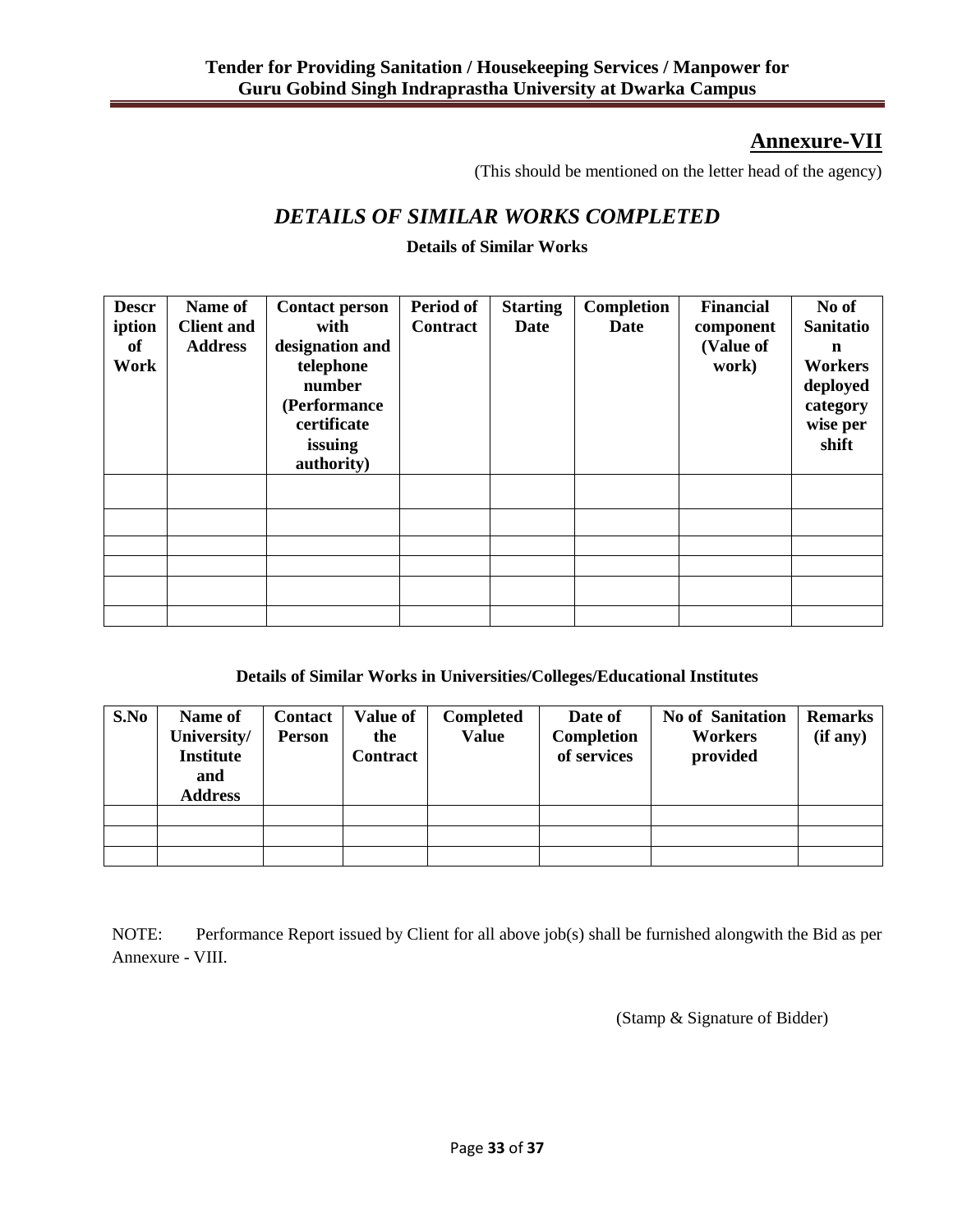# **Annexure-VII**

(This should be mentioned on the letter head of the agency)

# *DETAILS OF SIMILAR WORKS COMPLETED*

## **Details of Similar Works**

| <b>Descr</b><br>iption<br>of<br>Work | Name of<br><b>Client and</b><br><b>Address</b> | <b>Contact person</b><br>with<br>designation and<br>telephone<br>number<br>(Performance<br>certificate<br>issuing<br>authority) | Period of<br><b>Contract</b> | <b>Starting</b><br>Date | Completion<br><b>Date</b> | <b>Financial</b><br>component<br>(Value of<br>work) | No of<br><b>Sanitatio</b><br>$\mathbf n$<br>Workers<br>deployed<br>category<br>wise per<br>shift |
|--------------------------------------|------------------------------------------------|---------------------------------------------------------------------------------------------------------------------------------|------------------------------|-------------------------|---------------------------|-----------------------------------------------------|--------------------------------------------------------------------------------------------------|
|                                      |                                                |                                                                                                                                 |                              |                         |                           |                                                     |                                                                                                  |
|                                      |                                                |                                                                                                                                 |                              |                         |                           |                                                     |                                                                                                  |
|                                      |                                                |                                                                                                                                 |                              |                         |                           |                                                     |                                                                                                  |
|                                      |                                                |                                                                                                                                 |                              |                         |                           |                                                     |                                                                                                  |
|                                      |                                                |                                                                                                                                 |                              |                         |                           |                                                     |                                                                                                  |
|                                      |                                                |                                                                                                                                 |                              |                         |                           |                                                     |                                                                                                  |

### **Details of Similar Works in Universities/Colleges/Educational Institutes**

| S.No | Name of<br>University/<br><b>Institute</b><br>and<br><b>Address</b> | <b>Contact</b><br><b>Person</b> | <b>Value of</b><br>the<br><b>Contract</b> | <b>Completed</b><br><b>Value</b> | Date of<br>Completion<br>of services | <b>No of Sanitation</b><br>Workers<br>provided | <b>Remarks</b><br>(if any) |
|------|---------------------------------------------------------------------|---------------------------------|-------------------------------------------|----------------------------------|--------------------------------------|------------------------------------------------|----------------------------|
|      |                                                                     |                                 |                                           |                                  |                                      |                                                |                            |
|      |                                                                     |                                 |                                           |                                  |                                      |                                                |                            |
|      |                                                                     |                                 |                                           |                                  |                                      |                                                |                            |

NOTE: Performance Report issued by Client for all above job(s) shall be furnished alongwith the Bid as per Annexure - VIII.

(Stamp & Signature of Bidder)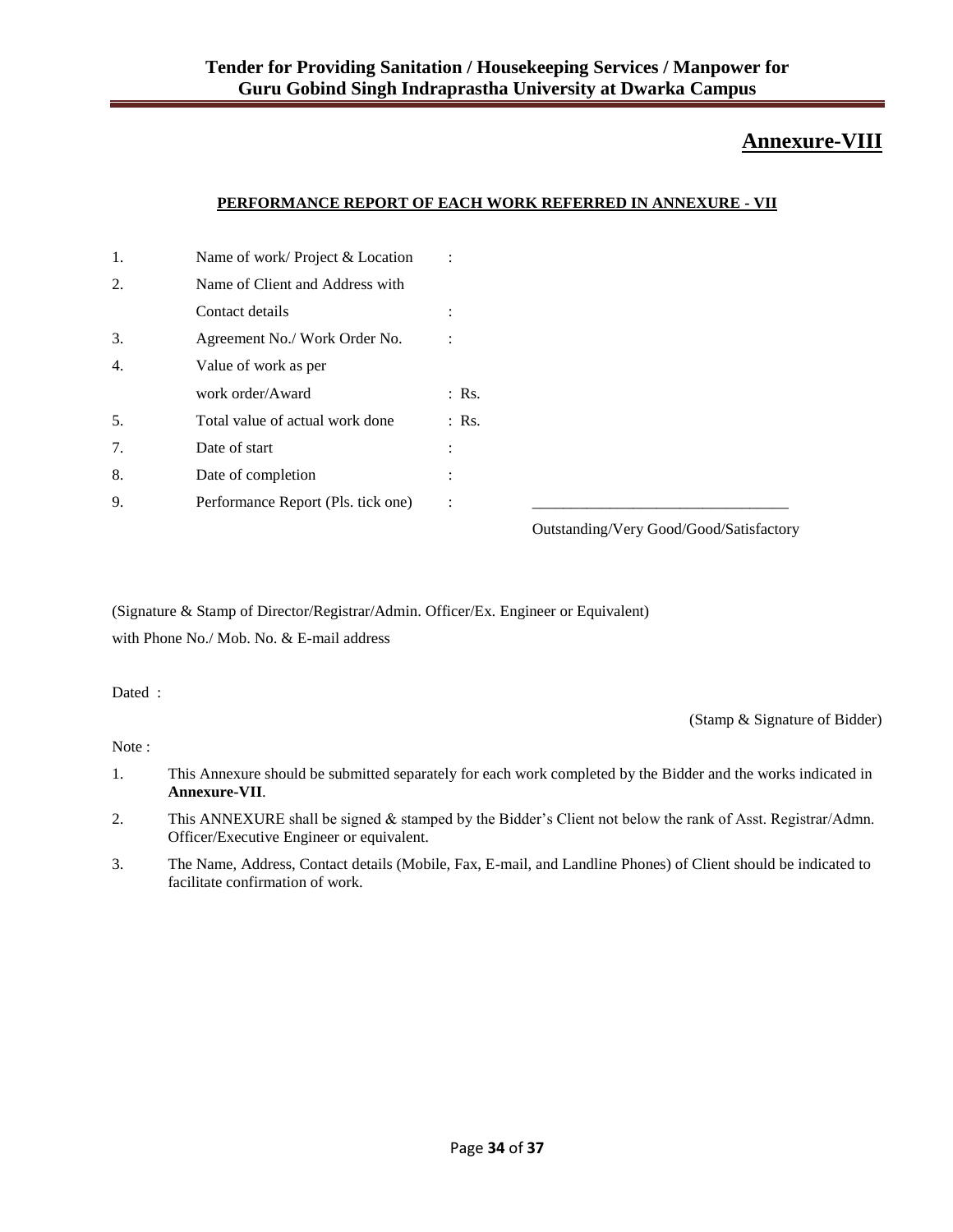## **Annexure-VIII**

#### **PERFORMANCE REPORT OF EACH WORK REFERRED IN ANNEXURE - VII**

| 1. | Name of work/Project & Location    | ÷                                                                                                                            |
|----|------------------------------------|------------------------------------------------------------------------------------------------------------------------------|
| 2. | Name of Client and Address with    |                                                                                                                              |
|    | Contact details                    | $\cdot$                                                                                                                      |
| 3. | Agreement No./ Work Order No.      |                                                                                                                              |
| 4. | Value of work as per               |                                                                                                                              |
|    | work order/Award                   | $:$ Rs.                                                                                                                      |
| 5. | Total value of actual work done    | $:$ Rs.                                                                                                                      |
| 7. | Date of start                      | ÷                                                                                                                            |
| 8. | Date of completion                 | ٠                                                                                                                            |
| 9. | Performance Report (Pls. tick one) | ÷                                                                                                                            |
|    |                                    | $Q_{\text{inter}}$ $A_{\text{inter}}$ $A_{\text{inter}}$ $C_{\text{inter}}$ $A/C_{\text{inter}}$ $A/\text{C}_{\text{inter}}$ |

Outstanding/Very Good/Good/Satisfactory

(Signature & Stamp of Director/Registrar/Admin. Officer/Ex. Engineer or Equivalent) with Phone No./ Mob. No. & E-mail address

Dated :

(Stamp & Signature of Bidder)

Note :

- 1. This Annexure should be submitted separately for each work completed by the Bidder and the works indicated in **Annexure-VII**.
- 2. This ANNEXURE shall be signed & stamped by the Bidder"s Client not below the rank of Asst. Registrar/Admn. Officer/Executive Engineer or equivalent.
- 3. The Name, Address, Contact details (Mobile, Fax, E-mail, and Landline Phones) of Client should be indicated to facilitate confirmation of work.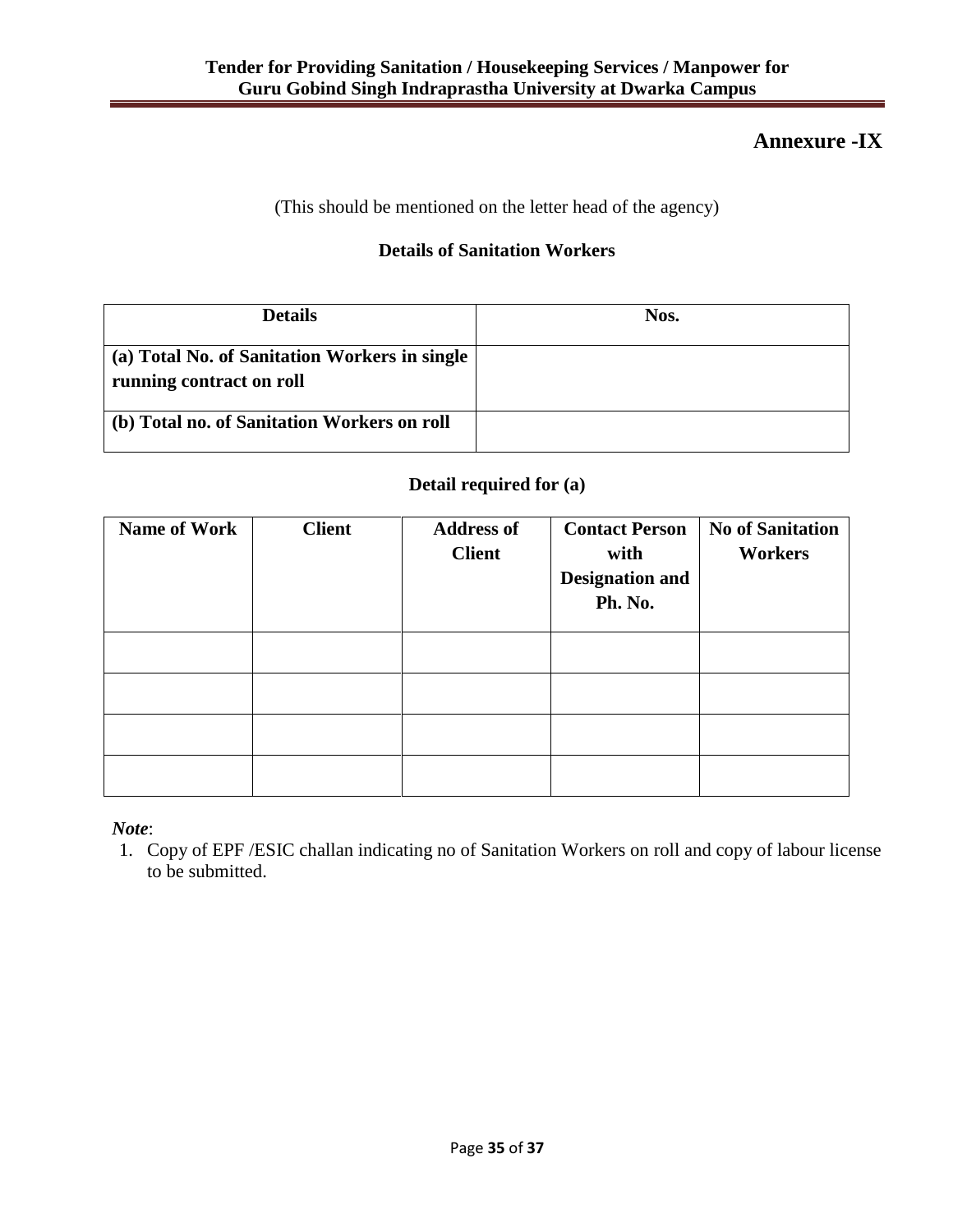# **Annexure -IX**

(This should be mentioned on the letter head of the agency)

## **Details of Sanitation Workers**

| <b>Details</b>                                                            | Nos. |
|---------------------------------------------------------------------------|------|
| (a) Total No. of Sanitation Workers in single<br>running contract on roll |      |
| (b) Total no. of Sanitation Workers on roll                               |      |

## **Detail required for (a)**

| <b>Name of Work</b> | <b>Client</b> | <b>Address of</b><br><b>Client</b> | <b>Contact Person</b><br>with<br><b>Designation and</b><br>Ph. No. | <b>No of Sanitation</b><br><b>Workers</b> |
|---------------------|---------------|------------------------------------|--------------------------------------------------------------------|-------------------------------------------|
|                     |               |                                    |                                                                    |                                           |
|                     |               |                                    |                                                                    |                                           |
|                     |               |                                    |                                                                    |                                           |
|                     |               |                                    |                                                                    |                                           |

*Note*:

1. Copy of EPF /ESIC challan indicating no of Sanitation Workers on roll and copy of labour license to be submitted.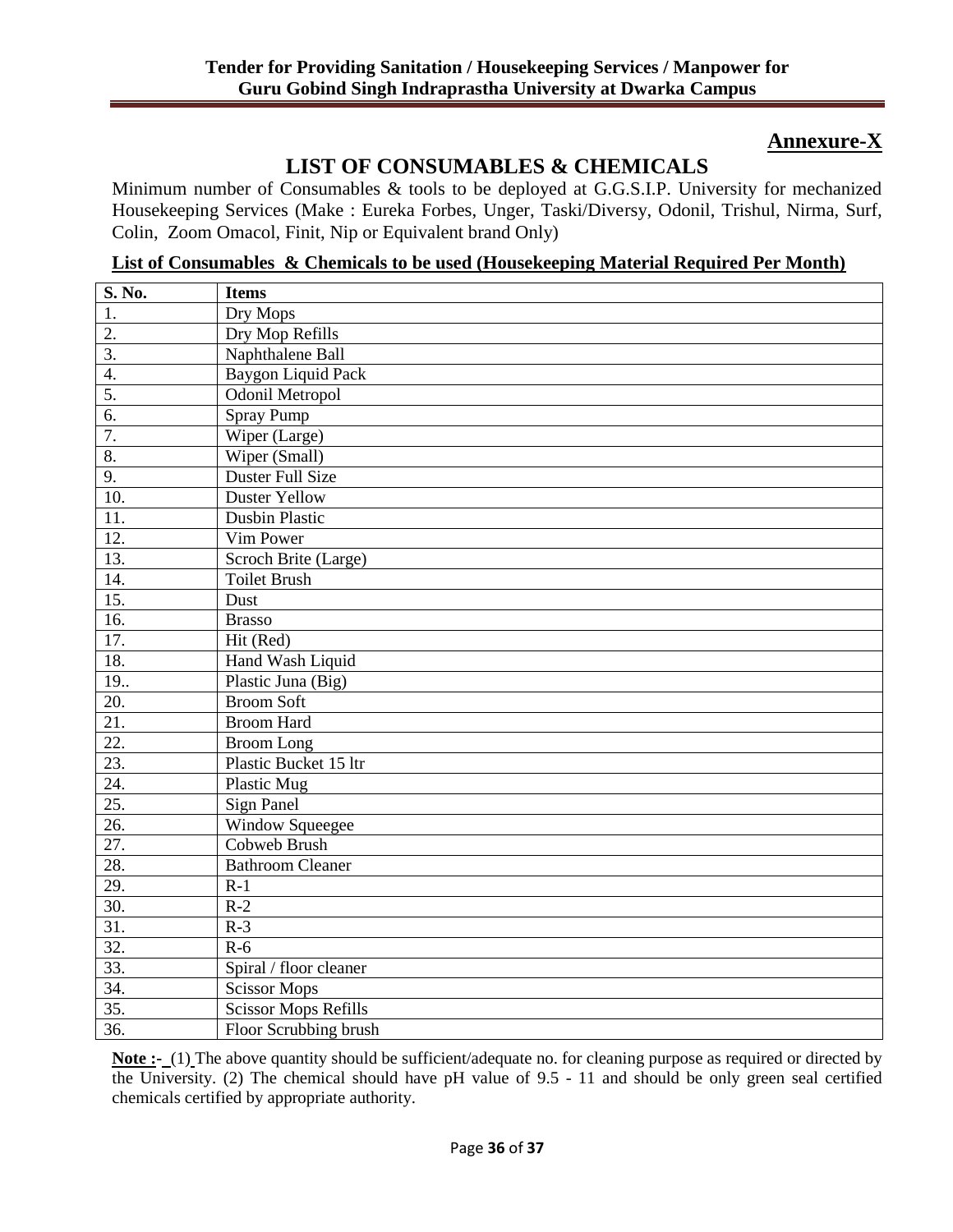# **Annexure-X**

# **LIST OF CONSUMABLES & CHEMICALS**

Minimum number of Consumables & tools to be deployed at G.G.S.I.P. University for mechanized Housekeeping Services (Make : Eureka Forbes, Unger, Taski/Diversy, Odonil, Trishul, Nirma, Surf, Colin, Zoom Omacol, Finit, Nip or Equivalent brand Only)

**List of Consumables & Chemicals to be used (Housekeeping Material Required Per Month)**

| S. No.            | <b>Items</b>                |
|-------------------|-----------------------------|
| 1.                | Dry Mops                    |
| $\overline{2}$ .  | Dry Mop Refills             |
| $\overline{3}$ .  | Naphthalene Ball            |
| 4.                | <b>Baygon Liquid Pack</b>   |
| 5.                | <b>Odonil Metropol</b>      |
| 6.                | <b>Spray Pump</b>           |
| 7.                | Wiper (Large)               |
| 8.                | Wiper (Small)               |
| 9.                | Duster Full Size            |
| 10.               | <b>Duster Yellow</b>        |
| 11.               | <b>Dusbin Plastic</b>       |
| 12.               | Vim Power                   |
| 13.               | Scroch Brite (Large)        |
| 14.               | <b>Toilet Brush</b>         |
| 15.               | Dust                        |
| 16.               | <b>Brasso</b>               |
| 17.               | Hit (Red)                   |
| 18.               | Hand Wash Liquid            |
| 19                | Plastic Juna (Big)          |
| 20.               | <b>Broom Soft</b>           |
| 21.               | <b>Broom Hard</b>           |
| 22.               | <b>Broom Long</b>           |
| 23.               | Plastic Bucket 15 ltr       |
| 24.               | <b>Plastic Mug</b>          |
| $\overline{25}$ . | <b>Sign Panel</b>           |
| 26.               | <b>Window Squeegee</b>      |
| $\overline{27}$ . | <b>Cobweb Brush</b>         |
| 28.               | <b>Bathroom Cleaner</b>     |
| 29.               | $R-1$                       |
| 30.               | $R-2$                       |
| $\overline{31}$ . | $R-3$                       |
| 32.               | $R-6$                       |
| $\overline{33}$ . | Spiral / floor cleaner      |
| 34.               | <b>Scissor Mops</b>         |
| $\overline{35}$ . | <b>Scissor Mops Refills</b> |
| $\overline{36}$ . | Floor Scrubbing brush       |

**Note :-** (1) The above quantity should be sufficient/adequate no. for cleaning purpose as required or directed by the University. (2) The chemical should have pH value of 9.5 - 11 and should be only green seal certified chemicals certified by appropriate authority.